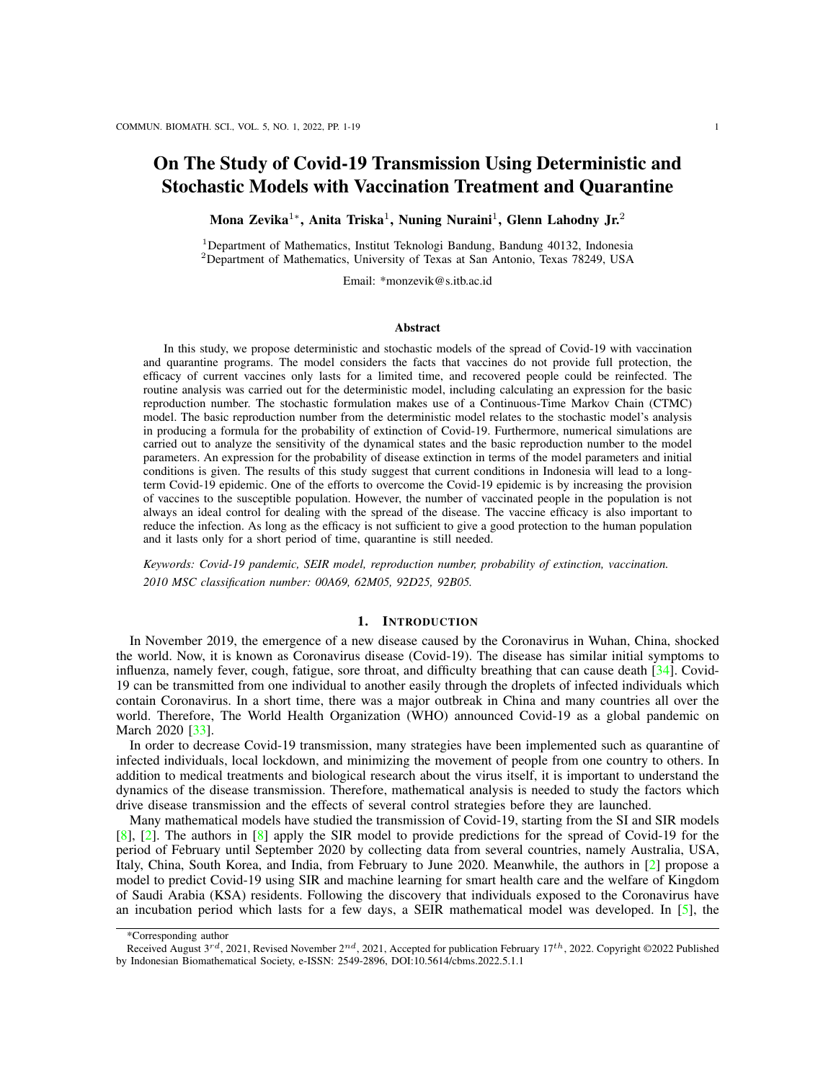# On The Study of Covid-19 Transmission Using Deterministic and Stochastic Models with Vaccination Treatment and Quarantine

Mona Zevika $^{1*}$ , Anita Triska $^{1}$ , Nuning Nuraini $^{1}$ , Glenn Lahodny Jr. $^{2}$ 

<sup>1</sup>Department of Mathematics, Institut Teknologi Bandung, Bandung 40132, Indonesia <sup>2</sup>Department of Mathematics, University of Texas at San Antonio, Texas 78249, USA

Email: \*monzevik@s.itb.ac.id

#### Abstract

In this study, we propose deterministic and stochastic models of the spread of Covid-19 with vaccination and quarantine programs. The model considers the facts that vaccines do not provide full protection, the efficacy of current vaccines only lasts for a limited time, and recovered people could be reinfected. The routine analysis was carried out for the deterministic model, including calculating an expression for the basic reproduction number. The stochastic formulation makes use of a Continuous-Time Markov Chain (CTMC) model. The basic reproduction number from the deterministic model relates to the stochastic model's analysis in producing a formula for the probability of extinction of Covid-19. Furthermore, numerical simulations are carried out to analyze the sensitivity of the dynamical states and the basic reproduction number to the model parameters. An expression for the probability of disease extinction in terms of the model parameters and initial conditions is given. The results of this study suggest that current conditions in Indonesia will lead to a longterm Covid-19 epidemic. One of the efforts to overcome the Covid-19 epidemic is by increasing the provision of vaccines to the susceptible population. However, the number of vaccinated people in the population is not always an ideal control for dealing with the spread of the disease. The vaccine efficacy is also important to reduce the infection. As long as the efficacy is not sufficient to give a good protection to the human population and it lasts only for a short period of time, quarantine is still needed.

*Keywords: Covid-19 pandemic, SEIR model, reproduction number, probability of extinction, vaccination. 2010 MSC classification number: 00A69, 62M05, 92D25, 92B05.*

#### 1. INTRODUCTION

In November 2019, the emergence of a new disease caused by the Coronavirus in Wuhan, China, shocked the world. Now, it is known as Coronavirus disease (Covid-19). The disease has similar initial symptoms to influenza, namely fever, cough, fatigue, sore throat, and difficulty breathing that can cause death [\[34\]](#page-18-0). Covid-19 can be transmitted from one individual to another easily through the droplets of infected individuals which contain Coronavirus. In a short time, there was a major outbreak in China and many countries all over the world. Therefore, The World Health Organization (WHO) announced Covid-19 as a global pandemic on March 2020 [\[33\]](#page-18-1).

In order to decrease Covid-19 transmission, many strategies have been implemented such as quarantine of infected individuals, local lockdown, and minimizing the movement of people from one country to others. In addition to medical treatments and biological research about the virus itself, it is important to understand the dynamics of the disease transmission. Therefore, mathematical analysis is needed to study the factors which drive disease transmission and the effects of several control strategies before they are launched.

Many mathematical models have studied the transmission of Covid-19, starting from the SI and SIR models [\[8\]](#page-17-0), [\[2\]](#page-17-1). The authors in [\[8\]](#page-17-0) apply the SIR model to provide predictions for the spread of Covid-19 for the period of February until September 2020 by collecting data from several countries, namely Australia, USA, Italy, China, South Korea, and India, from February to June 2020. Meanwhile, the authors in [\[2\]](#page-17-1) propose a model to predict Covid-19 using SIR and machine learning for smart health care and the welfare of Kingdom of Saudi Arabia (KSA) residents. Following the discovery that individuals exposed to the Coronavirus have an incubation period which lasts for a few days, a SEIR mathematical model was developed. In [\[5\]](#page-17-2), the

<sup>\*</sup>Corresponding author

Received August  $3^{rd}$ , 2021, Revised November  $2^{nd}$ , 2021, Accepted for publication February 17th, 2022. Copyright ©2022 Published by Indonesian Biomathematical Society, e-ISSN: 2549-2896, DOI:10.5614/cbms.2022.5.1.1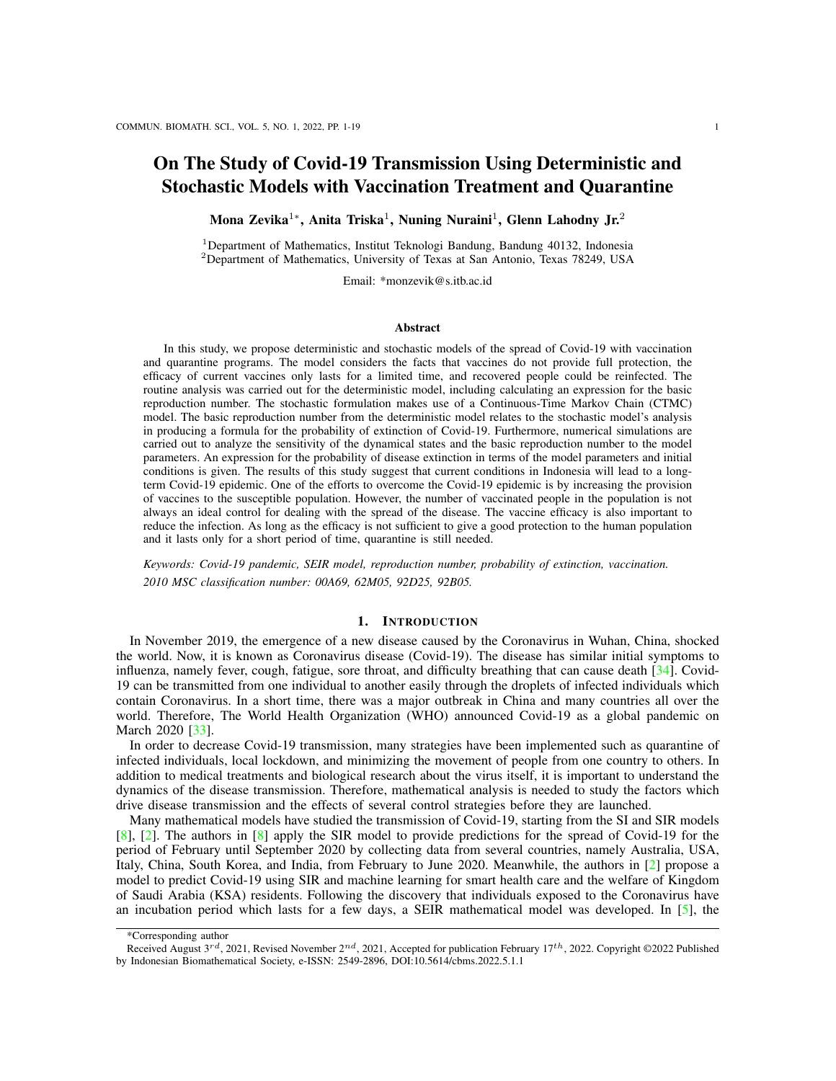authors included vaccination parameters for susceptible individuals, with the assumption that Covid-19 will not infect any individual who has been vaccinated. In other words, the vaccine is able to prevent the infection completely. The authors in [\[15\]](#page-17-3) propose the SEIR model and the AI model to predict the peak and size of the Covid-19 epidemic in the non-Wuhan region of mainland China. The results of this study indicate that if the lockdown is lifted, the outbreak in non-Wuhan areas in mainland China will double in size. Adjustments of those models were made to present the actual situation better. Furthermore, some studies divide infected individuals into symptomatic and asymptomatic compartments [\[23\]](#page-17-4), [\[27\]](#page-17-5). Calculation of the basic reproduction number  $R_0$  is the main objective in those studies.

Recently, one of the strategies to decrease the transmission of Covid-19 is the vaccination program, including in Indonesia. Some works have studied the effects of vaccination on the spread of Covid-19. Ghostine *et al.* [\[17\]](#page-17-6) considered the vaccinated population and quarantine policy in an improved Covid-19 model. In [\[17\]](#page-17-6), the authors assumed that all infected individuals follow strict quarantine guidelines. In reality, since the number of infected people has increased rapidly lately, medical facilities cannot quarantine them in hospitals. In [\[22\]](#page-17-7), Machado *et al.* also discussed a model with vaccination and without quarantine policy, but they considered the confirmed and unconfirmed infected populations. Savasan *et al.* [\[28\]](#page-17-8) proposed a Covid-19 transmission model in Mediterranean Island by considering vaccination as well. In this work, they divided the infected population into three sub-populations, namely mild infected individuals that are in quarantine hotels, moderate infected individuals that are in hospitals, and severe infected individuals that are in intensive care units. In January 2021, the Indonesian government has launched a vaccination program for citizens. Fuady *et al.* [\[16\]](#page-17-9) considered a model with a targeted vaccine allocation program in Indonesia without a quarantine strategy. However, those models have not been able to accommodate the fact that the efficacy of current vaccines is limited for a certain period of time in the body [\[10\]](#page-17-10). In [\[24\]](#page-17-11), Omae *et al.* constructed a Covid-19 model to study the effects of vaccination by taking into account individuals with the first and second doses. They also considered the scenario that vaccinated people may move to the susceptible population again.

<span id="page-1-0"></span>

Figure 1: The number of doses of Covid-19 vaccines in Indonesia until September 2, 2021

Currently, there are several types of vaccines for Covid-19. Since the implementation of the national vaccination program to deal with Covid-19, since January 2021, Indonesia has used three types of vaccines until June 2021. Namely the CoronaVac (Sinovac), AstraZeneca, and Sinopharm [\[9\]](#page-17-12). Lately, the government of Indonesia has used other types of vaccines, such as Pfizer and Moderna. Until September 2021, Indonesia has used about 217 million doses of vaccines in total. From the 217 million doses, the Sinovac is the most commonly used vaccine in Indonesia, with about 181.9 million doses, followed by AstraZeneca with about 11.5 million doses. The complete data about the number of doses of Covid-19 vaccines in Indonesia until September 2021 is shown in Figure [1.](#page-1-0)

According to [\[19\]](#page-17-13), each vaccine has a different efficacy, as seen in Table I. Since the efficacy of those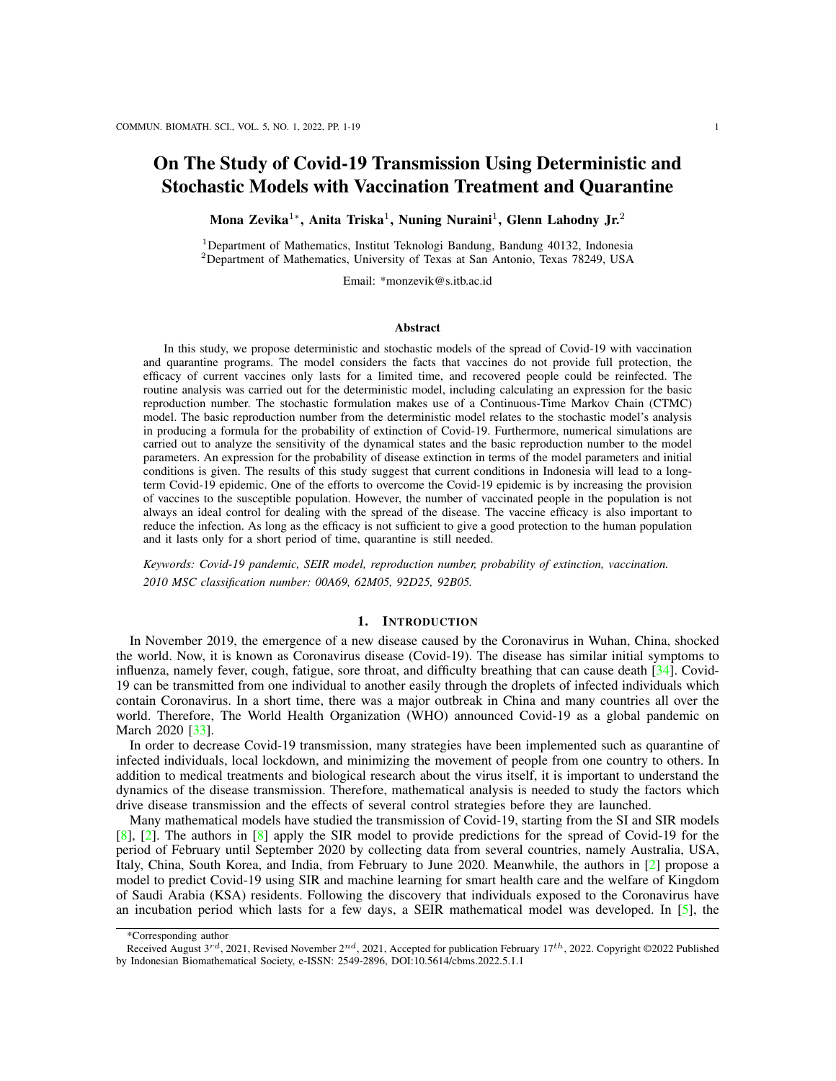vaccines varies even after getting vaccinated, people could be infected by the Coronavirus [\[35\]](#page-18-2). WHO also suggests keeping taking precautions to protect ourselves since some people may still get ill from Covid-19 after vaccination [\[35\]](#page-18-2). As such, there is an important question related to the eradication of Covid-19, i.e., whether it is enough to be vaccinated. The present study aims to analyze the effects of vaccination in controlling Covid-19 in Indonesia. For this reason, a vaccinated compartment will be added to the SEIR model, which will be one of the unique features of this study. Since vaccinated individuals may get ill from Covid-19, we assume that vaccinated individuals may become exposed (infected but not yet infectious) after contact with an infected individual. We also consider that the current vaccines only have efficacy for certain period of time. It is also assumed that vaccinated people have stronger immunity than susceptible unvaccinated people. In this study, the vaccine's efficacy affecting the immunity is represented implicitly by the infection rate. Thus, the infection rate for vaccinated people by the infected is lower than the infection rate for susceptible unvaccindated people. Additionally, we divide infected people into two sub-populations, i.e., quarantined and those who are not. Only those who are not quarantined can transmit the Covid-19 to others.

Furthermore, we develop a stochastic model closely related to the deterministic model to account for variability in transmission and recovery behavior in the early stages of the Covid-19 pandemic. Previously, a stochastic approach has been used by several authors [\[3\]](#page-17-14), [\[31\]](#page-18-3), [\[4\]](#page-17-15). Allen *et al.* [\[3\]](#page-17-14) have considered a stochastic SIR epidemic model, and Suryani *et al.* [\[31\]](#page-18-3) developed a stochastic model for Middle East Respiratory Syndrome (MERS) disease. Further, Zevika *et al.* [\[37\]](#page-18-4) developed a model for the Zika virus infection with Microcephaly in newborns, and Soewono *et al.* [\[30\]](#page-18-5) considered a stochastic model for the Zika virus with concern to pregnant women and microcephaly in newborns. Modeling the transmission behavior with a stochastic approach is expected to display a stochastic simulation closer to the actual data. For the stochastic model, we calculate a threshold value which is related to the probability of extinction of Covid-19. This stochastic threshold is closely related to the basic reproduction number from the deterministic model.

| Vaccine     | Efficacy at<br>preventing | Efficacy at<br>preventing | Efficacy at<br>preventing | Efficacy at<br>preventing | Reference |
|-------------|---------------------------|---------------------------|---------------------------|---------------------------|-----------|
|             | disease:                  | infection:                | disease:                  | infection:                |           |
|             | Alpha                     | Alpha                     | Beta, Gamma, Delta        | Beta, Gamma, Delta        |           |
| CoronaVac   | 50%                       | 44%                       | 43%                       | 38%                       | [19]      |
| Sinopharm   | 73%                       | 65%                       | 63%                       | 56%                       | [19]      |
| AstraZeneca | 90%                       | 52%                       | 85%                       | 49%                       | [19]      |
| Moderna     | 94%                       | 89%                       | 94%                       | $80\%$                    | [19]      |
| Pfizer      | 94%                       | 86%                       | 85%                       | 78%                       | [19]      |

Table 1: Vaccine efficacy by Coronavirus variants

This paper is organized as follows. In Section 2, we construct a deterministic mathematical model for Covid-19 transmission. An expression for the basic reproduction number  $R_0$  is obtained and we consider the existence of equilibrium points. In Section 3, we discuss a Continuous-Time Markov Chain (CTMC) model for the spread of Covid-19. The non-linear dynamics of the CTMC model are approximated near the disease-free equilibrium by a Galton–Watson multitype branching process. An expression for the probability of disease extinction  $P_0$  is obtained in terms of the model parameters and initial conditions for  $R_0 > 1$ . In Section 4, numerical simulations are carried out to analyze the role of parameters to the dynamics of transmission,  $R_0$ , and  $P_0$ .

# 2. DETERMINISTIC MODEL

In this section, a deterministic model of Covid-19 transmission will be formulated. In the model, the human population is divided into six compartments; namely susceptible, vaccinated, exposed (infected but not yet infectious), infectious, quarantined: i.e., the hospitalized infected and self-quarantine infected at home, and recovered. Let  $S(t)$ ,  $V(t)$ ,  $E(t)$ ,  $I(t)$ ,  $Q(t)$ , and  $R(t)$  denote the number of susceptible, vaccinated, exposed, infectious, quarantined, and recovered humans after t 0 days. Thus,  $N(t) = S(t) + V(t) + E(t) + I(t) +$  $Q(t) + R(t)$  denotes the total population after t 0 days.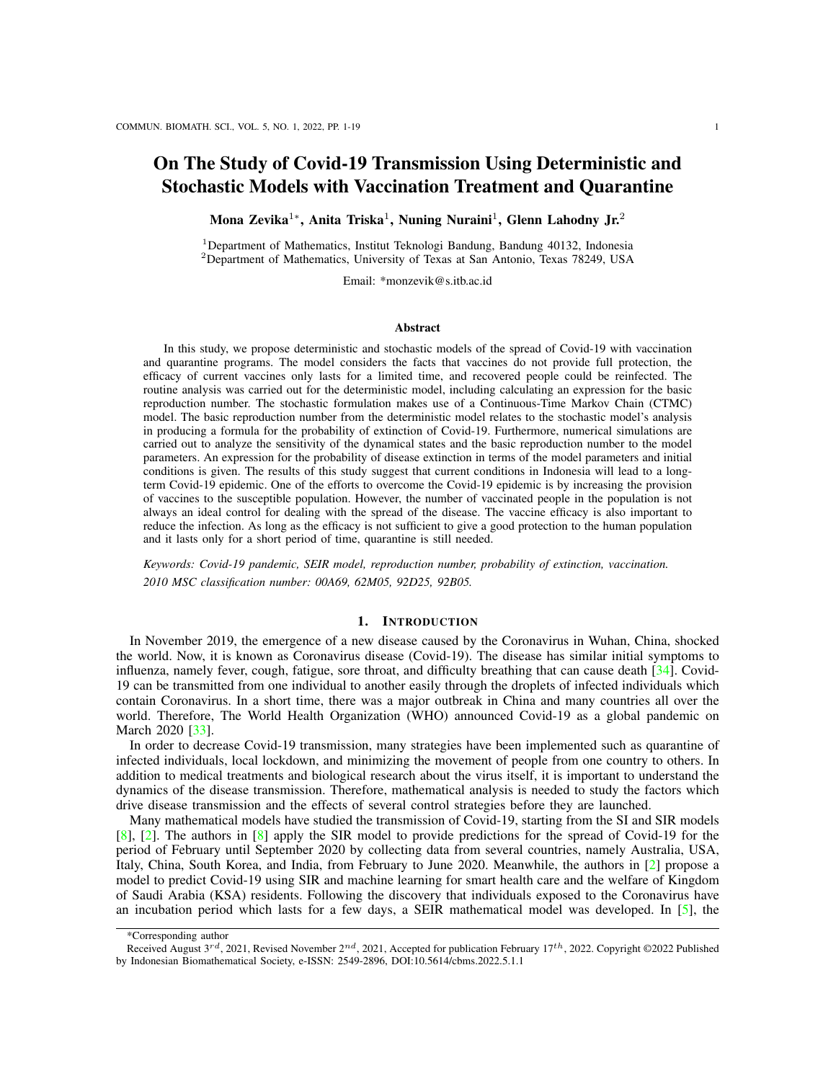The model in this study considers three important facts. First, vaccines do not provide full protection so that vaccinated people can still be infected  $[35]$ ,  $[36]$ . Second, the efficacy of current vaccines only lasts for a limited time so that vaccinated people may return to the susceptible population after a certain time [\[10\]](#page-17-10). Third, recovered individuals have natural immunity that lasts for a period of time, after which they can be reinfected. Therefore, they can return to the susceptible population  $[10]$ . Here, we assume that individuals are recruited (through birth and immigration) into the population at a constant rate  $> 0$  so that the total population is constant  $(N(t) = N(0) = N)$  and there is no disease-related death. That is, the only death rate for humans is the natural death rate  $\mu > 0$  and  $N \mu$ . Susceptible people will be vaccinated with a vaccination rate  $\alpha > 0$ . The vaccinated people will return to the susceptible population after the efficacy of the vaccine vanishes with the reduction rate of antibodies  $\kappa > 0$ . Infected individuals I can infect people in compartments  $S$  and  $V$ . However, we assume that the quarantined population  $Q$  can not spread the disease to others during their quarantine period. We assume frequency-dependent transmission where  $\beta_1 > 0$  and  $\beta_2 > 0$  denote the infection rates of susceptible and vaccinated individuals, respectively. Since vaccination provides some immunity, it is assumed that  $\beta_1 > \beta_2$ . People who have contact with infected individuals can be exposed and enter the E compartment. They are in the latent period for an average of  $1/\gamma$  days, where  $\gamma > 0$ , and cannot infect others. Some people in the E compartment will be quarantined with the proportion  $p \n\geq [0, 1)$ . The remaining proportion, 1 p, are infectious and not quarantined I. People in I and Q can recover from infection with a recovery rate  $\theta > 0$ . After recovered individuals lose their natural immunity, they return to the susceptible population with the reduction rates of antibodies by natural infection  $\nu > 0$ .

<span id="page-3-0"></span>The disease transmission is described in the following diagram.



Figure 2: Transmission diagram of Covid-19 considering the compartments of vaccinated people and quarantined people.

<span id="page-3-1"></span>Based on the diagram transmission in Figure [2,](#page-3-0) the formulation of the deterministic model is as follows

$$
\frac{dS}{dt} = (\alpha + \mu)S \quad \beta_1 \frac{S}{N} I + \kappa V + \nu R,
$$
\n
$$
\frac{dV}{dt} = \alpha S \quad (\kappa + \mu)V \quad \beta_2 \frac{V}{N} I,
$$
\n
$$
\frac{dE}{dt} = \beta_1 \frac{S}{N} I + \beta_2 \frac{V}{N} I \quad (\gamma + \mu)E,
$$
\n
$$
\frac{dI}{dt} = (1 \quad p)\gamma E \quad (\theta + \mu)I,
$$
\n
$$
\frac{dQ}{dt} = p\gamma E \quad (\theta + \mu)Q,
$$
\n
$$
\frac{dR}{dt} = \theta(Q + I) \quad (\nu + \mu)R.
$$
\n(1)

System [\(1\)](#page-3-1) is equipped with non-negative initial conditions, i.e.,  $S(0) = S_0 \t 0$ ,  $V(0) = V_0 \t 0$ ,  $E(0) =$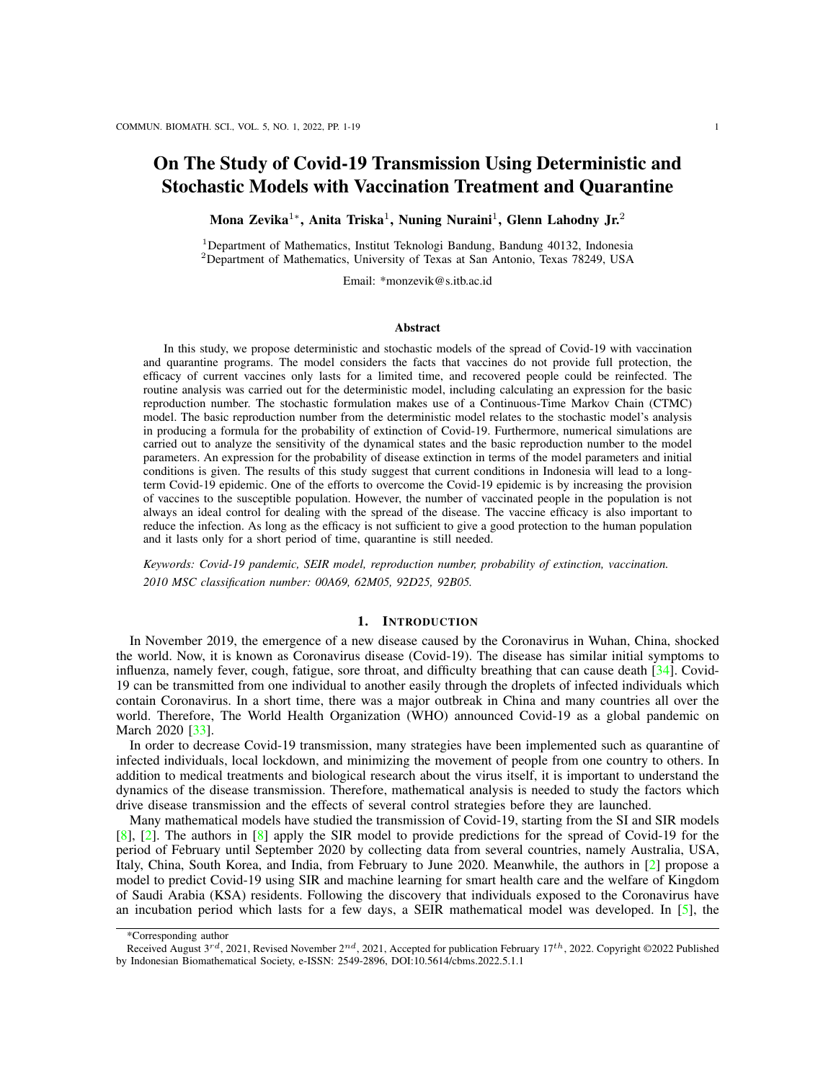$E_0$  0,  $I(0) = I_0$  0,  $Q(0) = Q_0$  0, and  $R(0) = R_0$  0.

# 2.1. Positive Invariance

Since all variables of System [\(1\)](#page-3-1) denote populations, then all of them must be non-negative for time  $t \neq 0$ when the initial conditions are also non-negative. Hence, it will be shown that System [\(1\)](#page-3-1) is well-posed from a biological point of view. Considering the first equation in System [\(1\)](#page-3-1),  $\frac{dS}{dt}$   $\mu S$  for non-negative initial conditions. Therefore,

$$
S(t) \tS_0 e^{-t} \t0. \t(2)
$$

This means that  $S(t)$  remains non-negative for all times  $t > 0$ . Analogous results hold for the other variables  $V(t)$ ,  $E(t)$ ,  $I(t)$ ,  $Q(t)$ , and  $R(t)$ .

The summation of all equations in System [\(1\)](#page-3-1) yields a differential equation for the total population  $N(t)$ as follows

<span id="page-4-0"></span>
$$
\frac{dN}{dt} = \mu N. \tag{3}
$$

Solving equation [\(3\)](#page-4-0) yields  $N(t) = \frac{\Delta}{t} + (N(0) - \frac{\Delta}{t})e^{-t}$ , where  $N(0)$  is the initial total population. As t ! 1, then  $N(t)$  !  $\Delta$ . Hence, the feasible domain of System [\(1\)](#page-3-1) is

$$
= \left\{ (S, V, E, I, Q, R) \ 2\mathbb{R}^6_+ : 0 \quad N \quad \frac{\ }{\mu} \right\},\tag{4}
$$

which is positively invariant. Thus, System [\(1\)](#page-3-1) is well-posed.

#### 2.2. The Basic Reproduction Number

System [\(1\)](#page-3-1) has two equilibrium points, namely a disease-free equilibrium (DFE) given by  $X_0 = (S, V, 0, 0, 0, 0)$ , where

$$
S = \frac{(\kappa + \mu)}{\mu(\alpha + \kappa + \mu)} \text{ and } V = \frac{\alpha}{\mu(\alpha + \kappa + \mu)}
$$

and an endemic equilibrium  $X_1 = (S^*, V^*, E^*, I^*, Q^*, R^*)$  which will be discussed in Section [\(2.4\)](#page-5-0).

The next-generation matrix method  $[11]$ ,  $[12]$  is applied to obtain an expression for the basic reproduction number of the System  $(1)$ . In System  $(1)$ , only the E and I compartments contribute to the appearance of new infections since it is assumed that quarantined individuals  $Q$  do not infect susceptible individuals. Linearization of the differential equations for the state variables  $E(t)$  and  $I(t)$  about the DFE  $X_0$  results in the Jacobian matrix

$$
\mathbf{J} = \begin{pmatrix} (\gamma + \mu) & \frac{\beta_1(\kappa + \mu) + \beta_2 \alpha}{\alpha + \kappa + \mu} \\ (1 & p) \gamma & (\theta + \mu) \end{pmatrix} . \tag{5}
$$

The Jacobian can be expressed as  $J = F \quad V$  [\[11\]](#page-17-16) with

<span id="page-4-1"></span>
$$
\mathbf{F} = \begin{pmatrix} 0 & \frac{\beta_1(\kappa + \mu) + \beta_2 \alpha}{\alpha + \kappa + \mu} \\ (1 & p)\gamma & 0 \end{pmatrix} \text{ and } \mathbf{V} = \begin{pmatrix} \gamma + \mu & 0 \\ 0 & \theta + \mu \end{pmatrix}.
$$
 (6)

The entries of F correspond to the emergence of new infected individuals and the entries of V correspond to all other state transitions [\[11\]](#page-17-16), [\[12\]](#page-17-17). These matrices are used to compute the next-generation matrix as follows

$$
\mathbf{NGM} = \mathbf{FV}^{-1} = \begin{pmatrix} 0 & \frac{\beta_1(\kappa + \mu) + \beta_2 \alpha}{(\alpha + \kappa + \mu)(\theta + \mu)} \\ \frac{(1-p)\gamma}{\gamma + \mu} & 0 \end{pmatrix}
$$
(7)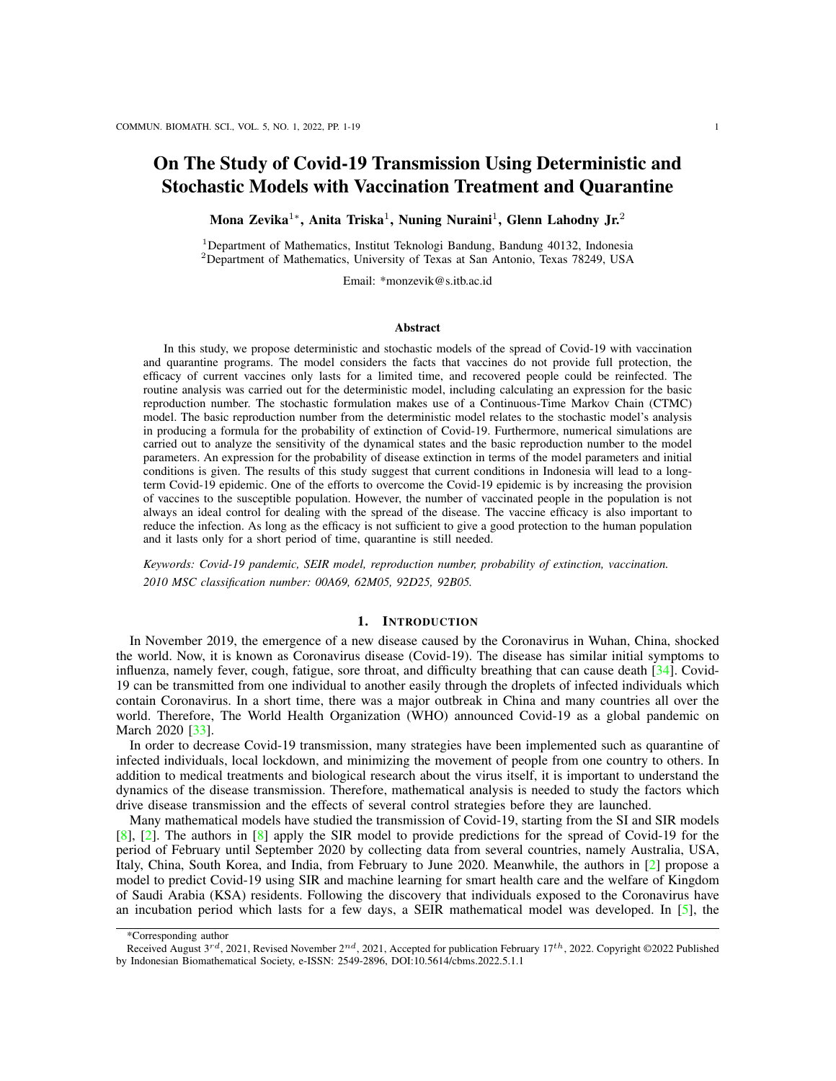The basic reproduction number is defined as the spectral radius of the next-generation matrix,  $R_0 = \rho(\text{NGM})$ [\[11\]](#page-17-16), [\[12\]](#page-17-17)

$$
R_0 = \sqrt{\frac{\left[\beta_1(\kappa + \mu) + \beta_2 \alpha\right](1 - p)\gamma}{(\theta + \mu)((\alpha + \kappa + \mu)(\gamma + \mu)}}.
$$
\n(8)

## 2.3. Stability of the Disease-free Equilibrium

If  $R_0 < 1$ , then the unique disease-free equilibrium  $X_0$  of System [\(1\)](#page-3-1) is locally asymptotically stable and if  $R_0 > 1$ , then  $X_0$  is unstable.

*Proof:* The evaluation of the Jacobian matrix for [\(1\)](#page-3-1) at  $X_0$  has eigenvalues  $\mu$ ,  $(\mu + \theta)$ ,  $(\mu + \nu)$ ,  $(\mu + \alpha + \kappa)$ , and the roots of the polynomial

<span id="page-5-1"></span>
$$
a_2 \lambda^2 + a_1 \lambda^2 + a_0 = 0, \tag{9}
$$

where

$$
a_2 = \alpha + \kappa + \mu,
$$
  
\n
$$
a_1 = (\alpha + \kappa + \mu)(\gamma + 2\mu + \theta),
$$
  
\n
$$
a_0 = (\alpha + \kappa + \mu)(\gamma + \mu)(\theta + \mu)(1 - R_0^2).
$$

The characteristic polynomial [\(9\)](#page-5-1) has two negative roots when  $R_0 < 1$ . Thus, it is clear that  $X_0$  is locally asymptotically stable for  $R_0 < 1$  and unstable for  $R_0 > 1$ .

## <span id="page-5-0"></span>2.4. Existence of a Unique Endemic Equilibrium

The unique endemic equilibrium point of System [\(1\)](#page-3-1) is  $X_1 = (S^*, V^*, E^*, I^*, Q^*, R^*)$ , with

$$
S^* = \frac{(I^*\beta_{2}\mu + \kappa + \mu)(\gamma + \mu)(\mu + \theta)}{\mu \gamma (1 - p) (I^*\beta_1\beta_2\mu + \alpha \beta_2 + \kappa \beta_1 + \beta_1\mu)},
$$
  
\n
$$
V^* = \frac{(\gamma + \mu)(\mu + \theta)^2 \alpha}{\mu \gamma (1 - p) (I^*\beta_1\beta_2\mu + \alpha \beta_2 + \kappa \beta_1 + \beta_1\mu)},
$$
  
\n
$$
E^* = \frac{I^*(\mu + \theta)}{(1 - p)\gamma}, Q^* = \frac{I^*p}{1 - p}, R^* = \frac{\theta I^*}{(1 - p)(\mu + \nu)},
$$

where  $I^*$  is defined implicitly by

$$
f(I^*) = b_2 I^{*2} + b_1 I^* + b_0,
$$
  
\n
$$
b_2 = \mu^2 \beta_1 \beta_2 ((\mu + \nu + \theta) \gamma + (\theta + \mu) (\mu + \nu)),
$$
  
\n
$$
b_1 = (1 \ p) \ \gamma \mu \beta_1 \beta_2 (\mu + \nu) + \ \mu \beta_2 (\theta + \mu) (\mu + \nu) (\gamma + \mu)
$$
  
\n
$$
+ \ \mu (\alpha \beta_2 + \kappa \beta_1 + \mu \beta_1) ((\mu + \nu + \theta) \gamma + (\theta + \mu) (\mu + \nu)),
$$
  
\n
$$
b_0 = \frac{2}{(\mu + \gamma)} (\mu + \alpha) (\mu + \theta) (\alpha + \kappa + \mu) (\beta_0^2 \ 1).
$$

According to Descartes' criterion, the polynomial  $f(I^*)$  has one positive root  $(I^* > 0)$  since the sign of the coefficients of polynomial  $f(I^*)$  change once, that is  $b_2 > 0$  and  $b_0 < 0$  when  $R_0 > 1$ . Thus,  $X^*$  is guaranteed to exist when  $R_0 > 1$ . Figure [3](#page-6-0) shows the bifurcation diagram of the equilibrium points with respect to  $\beta_2$ , whereas other parameters are fixed. When the values of  $\beta_2$  for the case  $R_0 < 1$ ,  $X_0$  is asymptotically stable. Meanwhile, if the values of  $\beta_2$  in the case  $R_0 > 1$ ,  $X_0$  becomes unstable and a stable endemic equilibrium exists.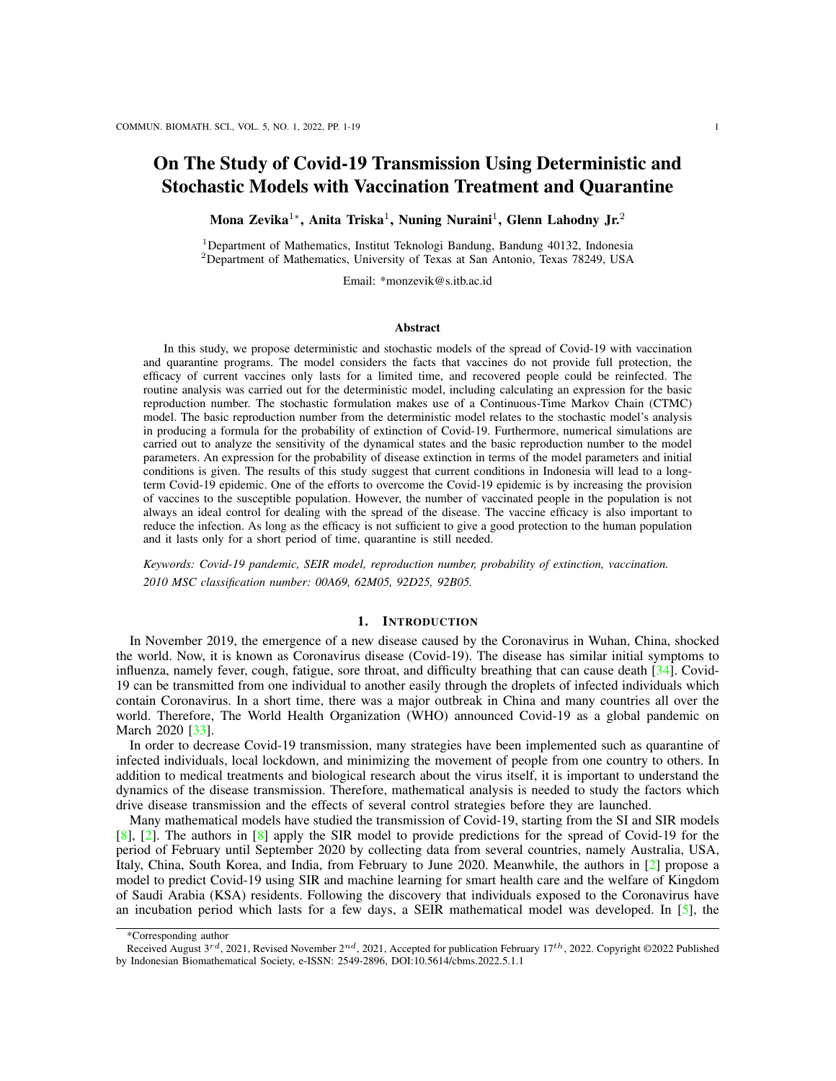<span id="page-6-0"></span>

Figure 3: Bifurcation diagram of the equilibrium points with respect to parameter 2. Solid lines indicate the stable equilibriums and dashed lines indicate unstable equilibriums.

#### 3. STOCHASTIC MODEL

# 3.1. Continuous-Time Markov Chain Model

In this section, we discuss a stochastic model for the spread of Covid-19 based on the deterministic model in Section 2. For convenience, the same notation used for the deterministic model is used in the stochastic model for the appropriate states. Let  $S(t)$ ,  $V(t)$ ,  $E(t)$ ,  $I(t)$ ,  $Q(t)$ , and  $R(t)$  be discrete random variables representing the number of susceptible, vaccinated, exposed (infected but not yet infectious), infectious, quarantined, and recovered individuals after  $t = 0$  days, respectively. The related discrete-valued random 0 days, respectively. The related discrete-valued random vector is denoted as

$$
X(t) = (S(t), V(t), E(t), I(t), Q(t), R(t)).
$$
\n(10)

A continuous-time Markov chain (CTMC) model is defined in terms of the state transitions that occur for the stochastic process  $fX(t)$   $\ell \geq [0, 1)$  g during an infinitesimally-small time period t. The change  $X(t) = X(t + t)$   $X(t)$  has an infinitesimal transition probability  $r + t + o(t)$ . The state transitions and corresponding rates are summarized in Table [2.](#page-7-0)

#### 3.2. Branching Process Approximation

To determine the probability of disease extinction, the nonlinear dynamics of the CTMC model are approximated near the DFE using a Galton-Watson multitype branching process as in  $\lceil 3 \rceil$ ,  $\lceil 4 \rceil$ . The only state variables contributing to the appearance of new infections are  $E$  and  $I$ . Therefore, the branching process approximation is only applied to these states, and the number of susceptible and vaccinated people is assumed to be close to disease-free equilibrium,  $S(t)$  S and  $V(t)$  V. to be close to disease-free equilibrium,  $S(t)$  S and  $V(t)$  V.

Both susceptible and vaccinated individuals can become infected through direct contact with infectious (non-quarantined) individuals. In the following, we use the term 'offspring' to describe susceptible or vaccinated people, each of whom was exposed through direct contact with an infectious person. The term 'offspring' will also be used for exposed people who develop an infectious state. We assume that the events associated with the infected states  $E(t)$  and  $I(t)$  are independent. That is, the number of offspring produced by a single exposed or infectious individual does not depend on the number of offspring produced by other exposed or infectious individuals. This assumption of independent events is the most restrictive leading to a Galton-Watson multitype branching process [\[3\]](#page-17-14), [\[6\]](#page-17-18), [\[18\]](#page-17-19), [\[20\]](#page-17-20).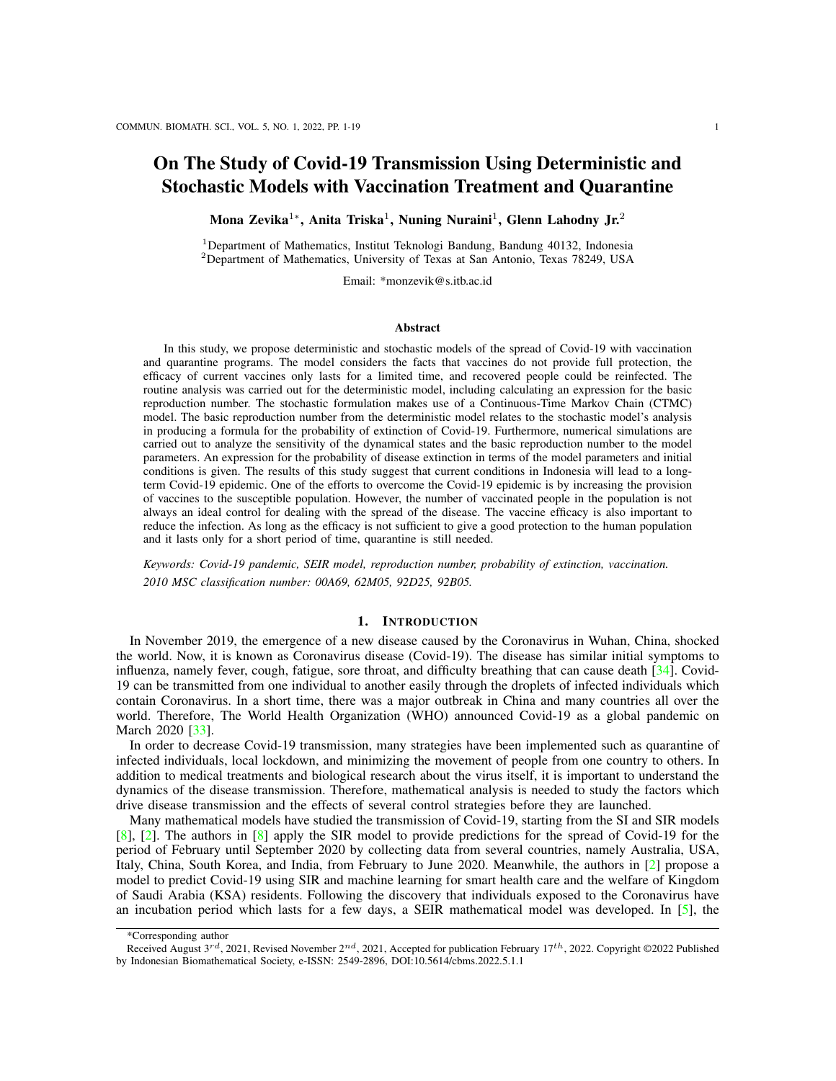| Description            | Change                           | Rate, r     |  |
|------------------------|----------------------------------|-------------|--|
| Recruitment            | $S/S+1$                          |             |  |
| Rate of vaccination    | $(S; V)$ / $(S \t1; V + 1)$      | S           |  |
| Death of S             | S/S                              | S           |  |
| Infection of S         | $(S; E)$ ! $(S \t1; E + 1)$      | $1 SI = N$  |  |
| Death of $V$           | $V$ / $V$                        |             |  |
| Infection of $V$       | $(V;E)$ ! $(V \t1;E+1)$          | $2$ V I = N |  |
| V becomes S            | $(V; S)$ ! $(V \t1; S + 1)$      |             |  |
| Exposed to infectious  | $(E, I)$ $\neq$ $(E - 1, I + 1)$ | (1)<br>p)   |  |
| Exposed to quarantined | $(E \t1; Q + 1)$<br>$(E;Q)$ !    | E           |  |
| Death of $E$           | FIF 1                            | F           |  |
| Recovery of 1          | $(I/R)$ $(1 \t1)R + 1)$          |             |  |
| Death of 1             | $\overline{1}$                   |             |  |
| Recovery of Q          | $(Q; R)$ ! $(Q \t1; R + 1)$      |             |  |
| Death of Q             | $\overline{O}$                   |             |  |
| Loss of immunity       | $(R, S)$ ! $(R \t1, S + 1)$      |             |  |
| Death of $R$           | R                                |             |  |

<span id="page-7-0"></span>Table 2: State transitions and corresponding rates describing the CTMC model.

The probability of disease extinction is defined as

$$
P_0 = \lim_{t \to \infty} \text{Prob} \mathcal{F}E(t) + I(t) = 0g. \tag{11}
$$

Note that the probability of disease extinction does not depend on the number of quarantined individuals  $Q(t)$  since it is assumed quarantined individuals are not capable of infecting susceptible individuals. Thus, even if infectious quarantined individuals are present, they will eventually recover or die without transmitting the disease producing new infections. An expression for the probability of disease extinction can be obtained from the offspring probability generating functions (pgfs) for the states  $E$  and  $I$ .

In general, for  $x_i(0) = 1$  and  $x_j(0) = 0$  where  $j \notin i$ , the offspring probability generating function (pgf) for individuals of type i is the function  $f_i : [0, 1]^n$  !  $[0, 1]^n$  defined by

$$
f_i(x_1,\ldots,x_n) = \sum_{k_1=1}^{\infty} \sum_{k_n=1}^{\infty} P_i(k_1,\ldots,k_n) x_1^{k_1} x_2^{k_n}, \qquad (12)
$$

where  $P_i(k_1, \ldots, k_n)$  denotes the probability that one type i individual gives 'birth' to  $k_i$  individuals of type j [\[3\]](#page-17-14), [\[4\]](#page-17-15). For the branching process approximation, we consider exposed people as type 1 individuals  $(x_1)$ , and infected people as type 2 individuals  $(x_2)$ .

The offspring pgf for E, given  $E(0) = 1$  and  $I(0) = 0$ , is

$$
f_1(x_1, x_2) = \frac{(1-p)\gamma x_2 + p\gamma + \mu}{\gamma + \mu}.
$$
 (13)

The term  $(1 p)\gamma/(\gamma + \mu)$  is the probability that a person changes status from exposed to infectious (nonquarantined), the term  $p\gamma/(\gamma + \mu)$  is the probability that a person changes status from exposed to quarantined, and the term  $\mu/(\gamma + \mu)$  is the probability of natural death for an exposed person before becoming infectious or quarantined.

The offspring pgf for I, given  $E(0) = 0$  and  $I(0) = 1$ , is

$$
f_2(x_1, x_2) = \frac{\beta_1(\kappa + \mu)x_1x_2 + \beta_2\alpha x_1x_2 + (\theta + \mu)(\alpha + \kappa + \mu)}{\beta_1(\kappa + \mu) + \beta_2\alpha + (\theta + \mu)(\alpha + \kappa + \mu)}.
$$
(14)

The term  $\beta_1(\kappa+\mu)/(\beta_1(\kappa+\mu)+\beta_2\alpha+(\theta+\mu)(\alpha+\kappa+\mu))$  is the probability that a susceptible person becomes exposed as a result of contact with an infectious person. The term  $\beta_2\alpha/(\beta_1(\kappa+\mu)+\beta_2\alpha+(\theta+\mu)(\alpha+\kappa+\mu))$ is the probability that a vaccinated person becomes exposed as a result of contact with an infectious person.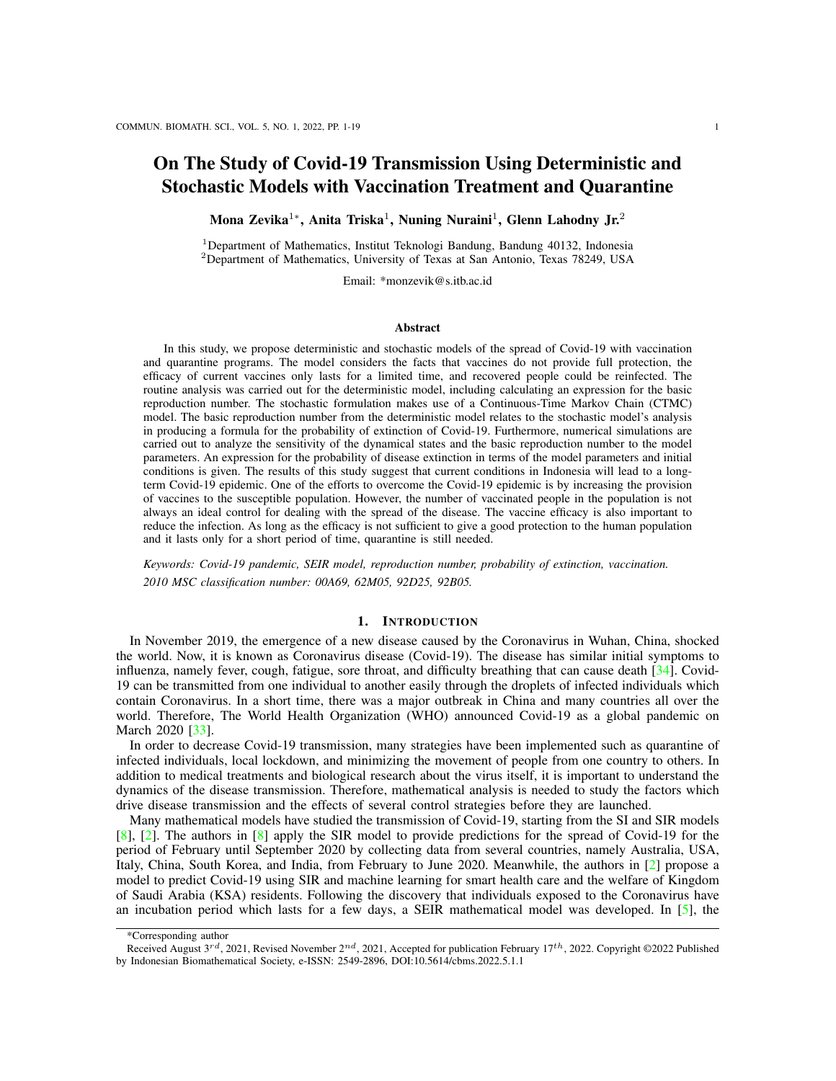The term  $(\theta + \mu)(\alpha + \kappa + \mu)/(\beta_1(\kappa + \mu) + \beta_2 \alpha + (\theta + \mu)(\alpha + \kappa + \mu))$  is the probability of recovery or death of an infected person.

The expectation matrix  $M = [m_{ij}]$  is a non-negative 2 2 matrix, whose entries are defined as

$$
m_{ij} = \frac{\partial f_j}{\partial x_i},\tag{15}
$$

where the partial derivatives are evaluated at the fixed point  $(x_1, x_2) = (1, 1)$  [\[3\]](#page-17-14), [\[4\]](#page-17-15). The entry  $m_{ij}$  denotes the expected number of type  $i$  offspring produced by one individual of type  $j$ . The expectation matrix  $M = [m_{ij}]$  for the offspring pgfs is

$$
M = \begin{pmatrix} 0 & \frac{\beta_1(\kappa + \mu) + \beta_2 \alpha}{\beta_1(\kappa + \mu) + \beta_2 \alpha + (\theta + \mu)(\alpha + \kappa + \mu)} \\ \frac{(1-p)\gamma}{\gamma + \mu} & \frac{\beta_1(\kappa + \mu) + \beta_2 \alpha}{\beta_1(\kappa + \mu) + \beta_2 \alpha + (\theta + \mu)(\alpha + \kappa + \mu)} \end{pmatrix}
$$
(16)

Since the expectation matrix  $M$  is irreducible and the offspring pgfs  $f_i$  are non-singular, there are at most two fixed points  $(x_1, x_2) \n\supseteq [0, 1]^2$  [\[26\]](#page-17-21). If the process is subcritical or critical  $(\rho(M) < 1$  or  $\rho(M) = 1)$ , then the point (1, 1) is the only fixed point. However, if the process is supercritical ( $\rho(M) > 1$ ), then there is a unique second fixed point  $(q_1, q_2) \ge (0, 1)^2$  of the offspring pgfs [\[18\]](#page-17-19), [\[26\]](#page-17-21). The probability of disease extinction is calculated using the fixed point  $(q_1, q_2) \n\supseteq (0, 1)^2$ . In particular, the probability of disease extinction is

$$
P_0 = \begin{cases} 1 & \text{if } \rho(M) = 1, \\ q_1^{E(0)} q_2^{I(0)} & \text{if } \rho(M) > 1. \end{cases}
$$
 (17)

Thus, the spectral radius of the expectation matrix  $\rho(M)$  serves as a threshold for disease persistence or extinction for the stochastic model in the same way that the basic reproduction number  $R_0$  is a threshold for the deterministic model [\[3\]](#page-17-14), [\[4\]](#page-17-15). The spectral radius of  $M$  is given by

$$
\rho(M) = \frac{1}{2} \left[ A + \sqrt{A^2 + 4AB} \right],
$$
\n(18)

where

$$
A = \frac{\beta_1(\kappa + \mu) + \beta_2 \alpha}{\beta_1(\kappa + \mu) + \beta_2 \alpha + (\theta + \mu)(\alpha + \kappa + \mu)},
$$
  

$$
B = \frac{(1 \ p)\gamma}{\gamma + \mu}
$$

The Threshold Theorem in [\[4\]](#page-17-15) gives the following relationship between  $\rho(M)$  and  $R_0$ :

$$
R_0 < 1 \, (= 1, > 1) \quad (\quad) \quad \rho(M) < 1 \, (= 1, > 1). \tag{19}
$$

The hypotheses of the Threshold Theorem are satisfied since the matrix  $F$  in [\(6\)](#page-4-1) is non-negative, the expectation matrix M is irreducible, and the matrix V in  $(6)$  is a non-singular M-matrix.

Let  $E(0) = e_0$  and  $I(0) = i_0$  for  $R_0 > 1$ , then the probability of extinction of disease define

<span id="page-8-1"></span>
$$
P_0 = \lim_{t \to \infty} \text{Prob} f E(t) + I(t) = 0 \mathcal{G} = q_1^{e_0} q_2^{i_0}, \tag{20}
$$

<span id="page-8-0"></span>for the unique fixed point  $(q_1, q_2) \n\mathcal{Z}(0, 1)^2$  of the offspring probability generating functions. The values of  $q_1$  and  $q_2$  are given by

$$
q_1 = \frac{p\gamma + \mu}{\gamma + \mu} + \frac{(1 - p)\gamma}{\gamma + \mu} \frac{1}{R_0^2},
$$
  
\n
$$
q_2 = \frac{1}{R_0^2},
$$
\n(21)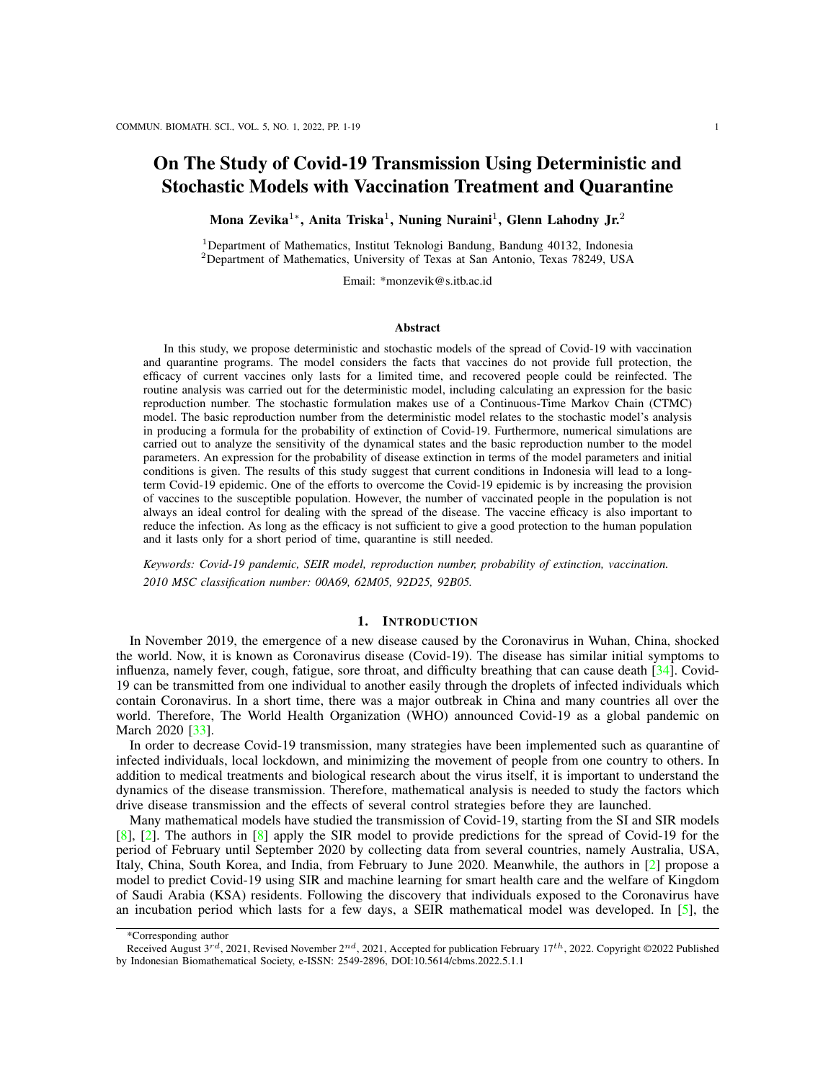Here, the term  $q_1$  denotes the probability of disease extinction for a single exposed individual. Meanwhile, the term  $q_2$  is the probability of disease extinction for a single infectious (non-quarantined) individual. The expressions for  $q_1$  and  $q_2$  can be interpreted epidemiologically. Given one exposed individual, either that individual dies from natural causes with probability  $\mu/(\gamma + \mu)$ , survives and progresses to a quarantined status with probability  $p\gamma/(\gamma + \mu)$ , or survives and progresses to an infectious (non-quarantined) status with probability  $(1 p)\gamma/(\gamma+\mu)$ . Then the infectious individual succesfully transmits the infection with probability  $q_1 = 1/R_0^2$ . Note that  $q_2 < q_1$  which is biologically reasonable since the disease is more likely to persist if individuals are already infectious rather than only exposed to the disease.

## 4. NUMERICAL ANALYSIS

In this section, we perform numerical simulation of the deterministic and stochastic models as well as sensitivity analysis of  $R_0$ ,  $P_0$ , and the equilibrium values with respect to the model parameters. All simulations use the parameter values in Table [3.](#page-9-0)

| Table 3: Parameter values with their description used in the simulation |  |  |  |  |  |  |  |
|-------------------------------------------------------------------------|--|--|--|--|--|--|--|
|-------------------------------------------------------------------------|--|--|--|--|--|--|--|

<span id="page-9-0"></span>

| Symbol         | Parameter                                              | Value                             | Unit      | References         |
|----------------|--------------------------------------------------------|-----------------------------------|-----------|--------------------|
|                | Recruitment rate                                       | Ν                                 | human/day | assumed            |
|                | Death rate                                             | 365)<br>$1 = (70$                 | human/day | assumed            |
|                | Vaccination rate                                       | $4:2:10^{-3}$<br>4<br>$1:10^{-7}$ | 1/day     | $\lceil 25 \rceil$ |
|                | The reduction rates of antibodies by vaccination       | $1 = 240$<br>$1 = 180$            | 1/day     | $\lceil 10 \rceil$ |
|                | Infection rate of S                                    | 0:119<br>0:282                    |           | $\lceil 32 \rceil$ |
| $\overline{2}$ | Infection rate of V                                    | 0.05<br>0:2                       |           | assumed            |
| Ŋ              | Proportion of quarantined humans E                     | 0                                 |           | assumed            |
|                | Latency period                                         | $1 = 5:5$                         | 1/day     | $\lceil 14 \rceil$ |
|                | Recovery rate                                          | $1 = 10$                          | 1/day     | $\lceil 14 \rceil$ |
|                | The reduction rates of antibodies by natural infection | $1 = 240$<br>$1 = 180$            | 1/day     | $\lceil 10 \rceil$ |

Figure [4](#page-10-0) shows the plots of one sample path of the CTMC model and the solution of deterministic model with  $\alpha = 0.0001$ ,  $p = 0.45$ ,  $\beta_1 = 0.25$ ,  $\beta_2 = 0.1$ ,  $\kappa = \nu = 1/210$ , and  $R_0 = 1.1651$ . It can be seen that for the SVEQIR model with loss of immunity to  $V$  and  $R$  after a certain period of time, there will be an epidemic in the long term.

#### 4.1. Level Sets  $R_0$

The level sets of  $R_0$  for some parameters are given in Figure [5.](#page-11-0) Figures [5\(](#page-11-0)a) and 5(d) show that the values of  $\beta_2$  and  $\kappa$  are proportional to the value of  $R_0$ , while the value of  $\alpha$  is inversely proportional to the value of  $R_0$ . These results provide knowledge that the value of  $R_0$  can be reduced by using a vaccine with higher efficacy (decreasing  $\beta_2$ ) and a longer effective period (decreasing  $\kappa$ ). Furthermore, Figures [5\(](#page-11-0)b) and 5(c) show that increasing p or  $\alpha$  decreases the value of  $R_0$ . These results indicate that the value of  $R_0$  can be reduced by increasing the proportion of people who are quarantined and the proportion of people who are vaccinated.

#### 4.2. Sensitivity Index of  $R_0$

We analyzed the sensitivity of  $R_0$  to model parameters using a normalized forward sensitivity index as defined in  $[7]$ . In particular, the forward sensitivity index of the normalized variable  $u$ , which depends on the parameter  $p$ , is defined as

<span id="page-9-1"></span>
$$
\frac{u}{\rho} = \frac{\partial u}{\partial p} \quad \frac{p}{u}.\tag{22}
$$

The sensitivity index of  $R_0$  can be calculated for each model parameter given in Table [3.](#page-9-0) Using the parameter values given in Table [3,](#page-9-0) the sensitivity index  $R_0$  to the parameters in System [\(1\)](#page-3-1) is evaluated using equation [\(22\)](#page-9-1) and the results are given in Table [4.](#page-10-1)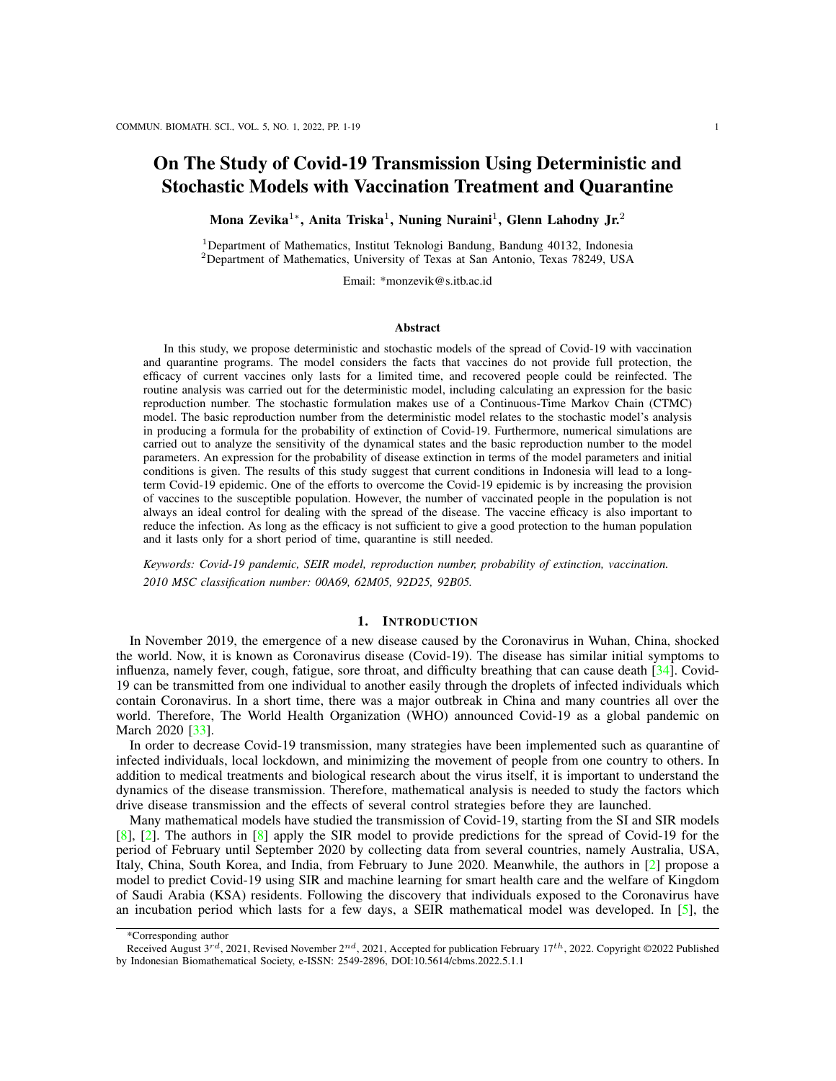<span id="page-10-0"></span>

<span id="page-10-1"></span>Figure 4: Simulation of ODE (dashed) and CTMC (solid) models with  $= 0.0001/p = 0.45$ ;  $_1 = 0.25$ ;  $_2 = 0.1$ ;  $= 0.25$ ;  $_3 = 0.1$ ;  $= 1$ =210, and  $R_0 = 1:1651$ .

|                          | Scenario 1             |                                                       | Scenario 2               |                                                  |  |  |
|--------------------------|------------------------|-------------------------------------------------------|--------------------------|--------------------------------------------------|--|--|
| $\mathcal{R}_0 = 1.1651$ |                        |                                                       | $\mathcal{R}_0 = 1.2724$ |                                                  |  |  |
|                          | $(p) = (0.0001, 0.45)$ |                                                       | $(p) = (0.0042, 0.1)$    |                                                  |  |  |
|                          | Parameter (p)          | Sentivity index $(\Upsilon^{\mathcal{R}_0}_{\ldots})$ | Parameter (p)            | Sentivity index $(\Upsilon^{\mathcal{R}_0}_{n})$ |  |  |
|                          |                        | $-0.4998$                                             |                          | $-0.4998$                                        |  |  |
|                          |                        | $+0.4959$                                             |                          | $+0.3704$                                        |  |  |
|                          | р                      | $-0.4091$                                             | 2                        | $+0.1296$                                        |  |  |
|                          |                        | $-0.0061$                                             |                          | $-0.1037$                                        |  |  |
|                          |                        | $+0.0060$                                             |                          | $+0.1029$                                        |  |  |
|                          | $\mathcal{P}$          | $+0.0041$                                             | D                        | $-0.0556$                                        |  |  |
|                          |                        | $-0.0003$                                             |                          | $+0.0005$                                        |  |  |
|                          |                        | $+0.0001$                                             |                          | $+0.0001$                                        |  |  |
|                          |                        |                                                       |                          |                                                  |  |  |

Table 4: Sensitivity indices of  $R_0$  to parameters.

Table [4](#page-10-1) shows the sensitivity indices of  $R_0$  for two scenarios of pairs  $\alpha$  and p. From the table, it can be observed that the level of antibody reduction by natural infection  $(\nu)$  has no effect on  $R_0$ . This occurs because the expression for  $R_0$  does not contain  $\nu$ . The basic reproduction number  $R_0$  is the most sensitive to the recovery rate ( $\theta$ ) and the infection rate of S by I ( $\beta_1$ ), respectively. Meanwhile,  $R_0$  is the least sensitive to the latency period  $(\gamma)$  and the natural death rate  $(\mu)$ , respectively. However, these four parameters are not easy to control through human intervention. Thus, we pay our attention to other parameters, namely  $p, \alpha, \kappa$ , and  $\beta_2$ . These parameters have different sensitivity orders in Scenarios 1 and 2, depending on the magnitude of each value. The value of  $R_0$  in Scenario 1 is closer to the situation in Indonesia. Under Scenario 1,  $R_0$ is more sensitive to the parameter p, followed by  $\alpha$ ,  $\kappa$ , and  $\beta_2$ . This is in accordance to the level set of  $R_0$ in the previous subsection. Figure [5\(](#page-11-0)b) that showed the level set of  $R_0$  to p and  $\alpha$  has the longest interval of  $R_0$  compared to three other figures. Under this circumstance, since the current vaccines do not give full protection and the antibodies from vaccination has limited time, it is still necessary to quarantine the infected.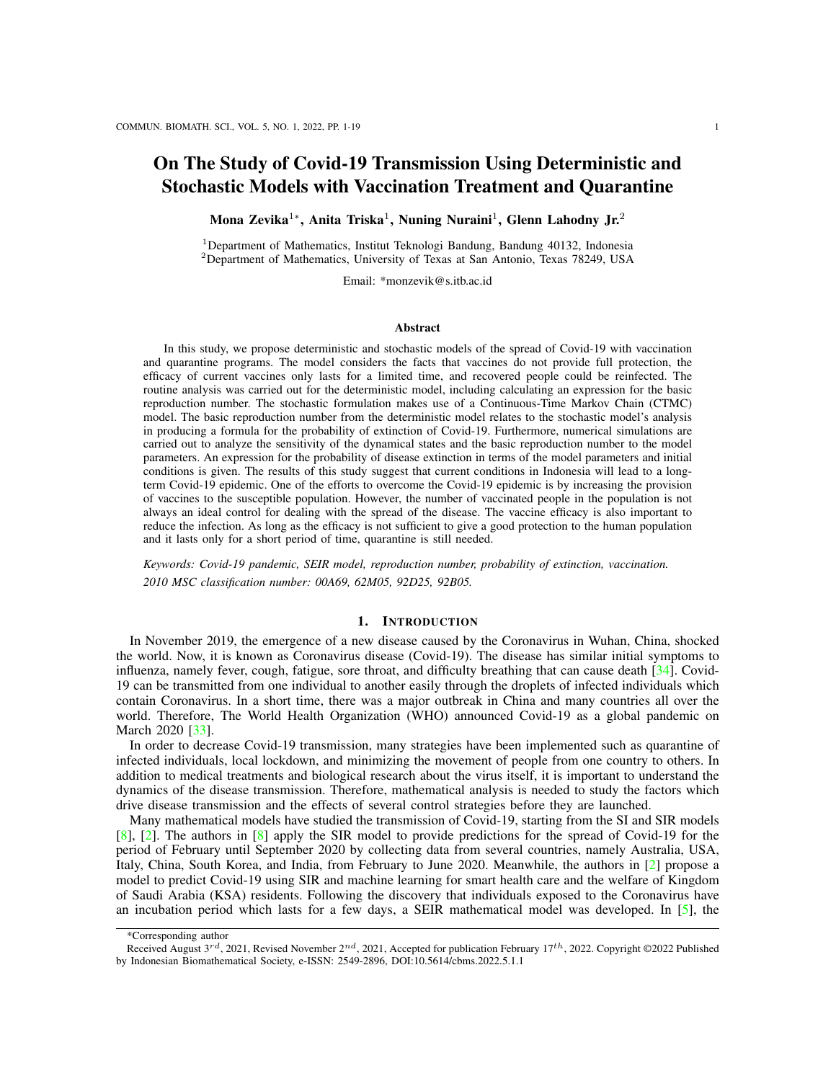<span id="page-11-0"></span>

Figure 5: Level set of  $R_0$  with data in Table [3:](#page-9-0) = 0.0001;  $p = 0.45$ ;  $p = 0.25$ ;  $q = 0.1$ ; = = 1=210.

#### 4.3. Probability of Disease Extinction

The expression  $q_1$  in equation [\(21\)](#page-8-0) represents the probability of extinction of the disease in the state E, and the expression  $q_2$  represents the probability of extinction in the state I. In Figure [6,](#page-12-0) the sensitivity of each quantity is shown in relation to vaccination rate, infection rate, and proportion of quarantined individuals. Figure [6](#page-12-0) shows that the values of  $\alpha$  and p are directly proportional to  $q_1$  and  $q_2$ , while values of  $\beta_2$  are inversely proportional to  $q_1$  and  $q_2$ . These results indicate that increasing the vaccine's efficacy, the rate of vaccination, and the proportion of quarantined infected people contributes to improving the probability of extinction of Covid-19 in the population.

The probability of disease extinction  $P_0$  is calculated for several sets of initial conditions using the equation [\(20\)](#page-8-1). This probability is compared with the numerical estimate (Approx.) of disease extinction in the CTMC model simulation. The numerical estimations are obtained from the proportion of 10,000 sample paths of the CTMC for which disease extinction occurs  $(E(t) = I(t) = 0)$  before time  $t = 320$ , which is the peak of the deterministic model. The results are summarized in Table [5](#page-12-1) with parameter values as in Table [3](#page-9-0) and initial conditions  $S(0) = 30,000$   $E(0)$   $I(0)$ ,  $V(0) = 0$ ,  $E(0)$ ,  $I(0)$ ,  $Q(0) = 0$ , and  $R(0) = 0$ .

In Table  $5$  it can be seen that the analytical value of the probability of extinction is very close to the estimated extinction value obtained from the 10,000 sample simulation. This shows that the probability of disease extinction can be calculated by the formula obtained  $P_0$  [\(21\)](#page-8-0). Meanwhile, for the simulation case in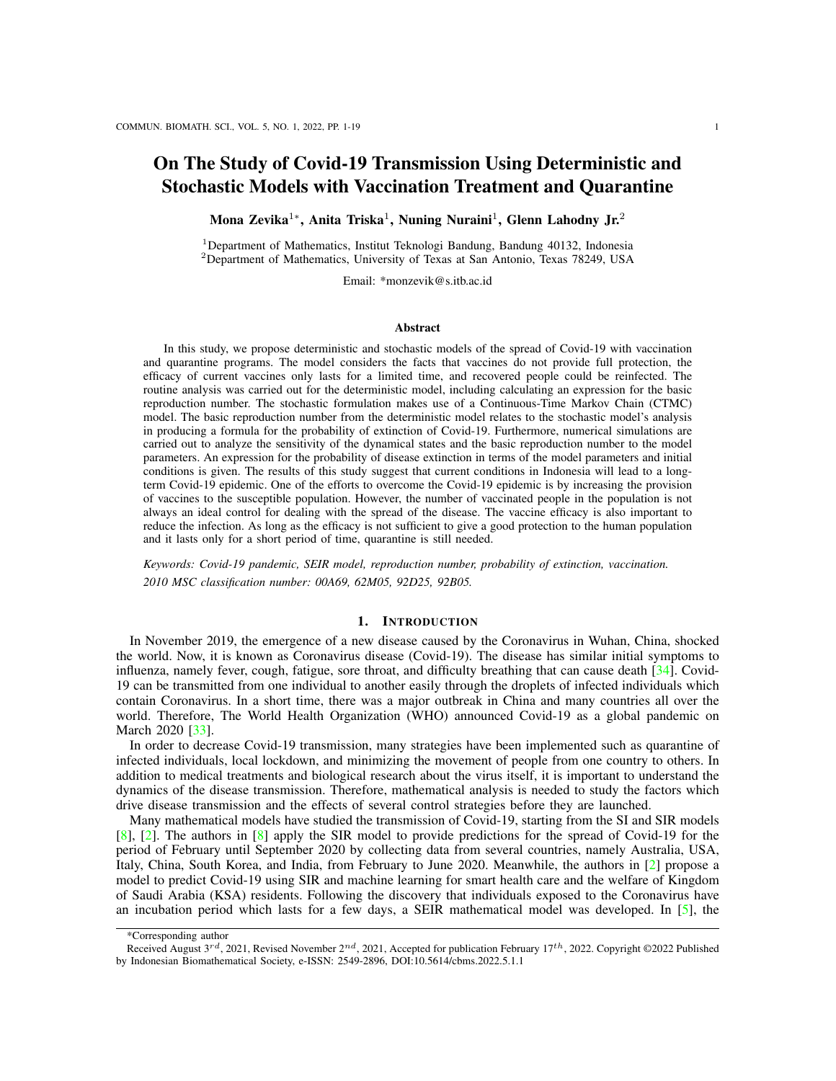<span id="page-12-0"></span>

Figure 6: Level set of  $q_1$  (a) and (b), and level set of  $q_2$  (c) and (d) by using the data in Table [3:](#page-9-0) = 0.0001;  $p =$ 0:45;  $_1 = 0.25$ ;  $_2 = 0.1$ ;  $_2 = 1.210$ .

<span id="page-12-1"></span>Table 5: An analytical calculation of the probability of disease extinction  $P_0$  and its numerical approximation (Approx.) based on 10,000 sample paths of the CTMC model.

| E (0)                         |                        | Rñ     | $P_{0}$ | Approx. |
|-------------------------------|------------------------|--------|---------|---------|
| 1                             | 0                      | 1.1651 | 0.8552  | 0.8545  |
| 2                             | $\mathbf{\Omega}$      | 1.1651 | 0.7314  | 0.7316  |
| 0                             |                        | 1.1651 | 0.7367  | 0.7381  |
| 0                             | $\mathfrak{D}_{\cdot}$ | 1.1651 | 0.5428  | 0.5493  |
| 1                             | 1                      | 1.1651 | 0.6301  | 0.6256  |
| 1                             | $\mathfrak{D}_{\cdot}$ | 1.1651 | 0.4642  | 0.4565  |
| $\mathfrak{D}_{\mathfrak{p}}$ | 1                      | 1.1651 | 0.5389  | 0.5320  |
| $\mathcal{D}_{\mathcal{L}}$   | 2                      | 1.1651 | 0.3970  | 0.3990  |

Figure [4,](#page-10-0) for a very long time ( $t = 3000$  days), the values obtained are  $I(3000)$  65 and  $E(3000)$  65. This result gives the value  $P_0 = 1.36$  10<sup>-14</sup> 0 where  $R_0 = 1.1651$ . This is in accordance with the solution plots in Figure 4, where there will be an epidemic for a long time.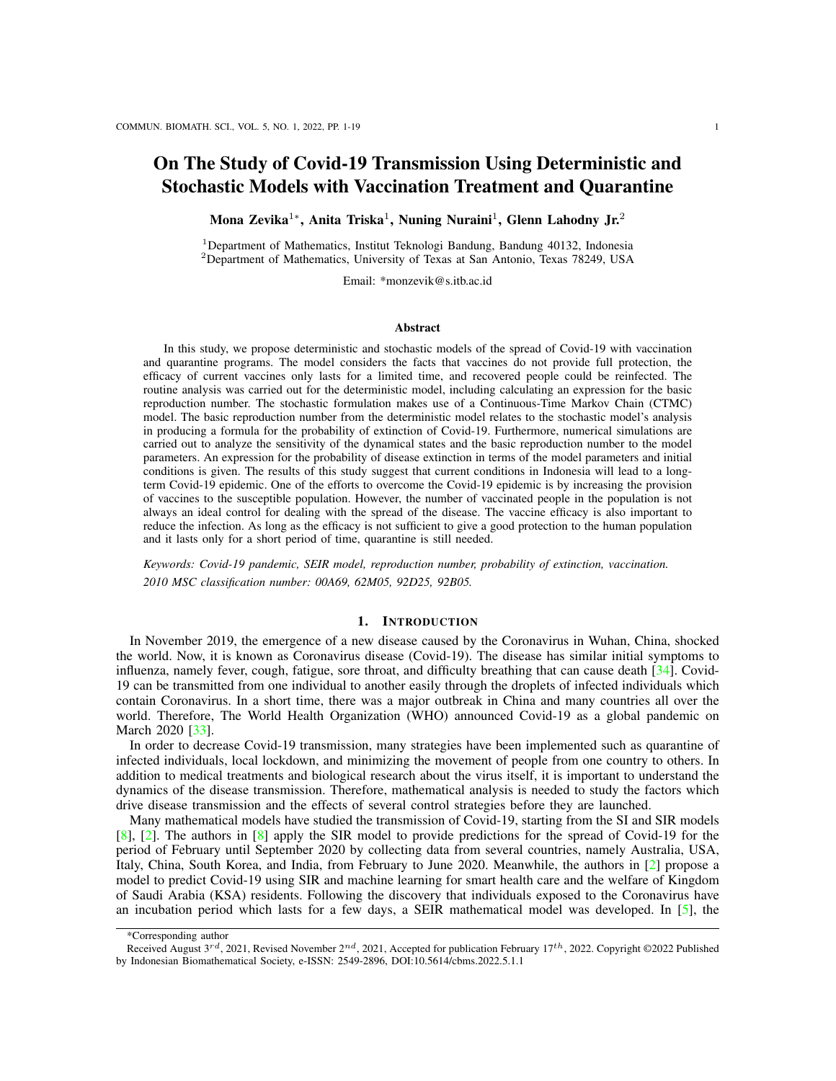<span id="page-13-1"></span>

Figure 7: Sensitivity analysis of V, Q, I, and R with respect to parameters ,  $\alpha$ , p, and with data in Table [3.](#page-9-0)

#### 4.4. Sensitivity Analysis of Variables

Next, we analyze the sensitivity of solutions of System [\(1\)](#page-3-1) to changes in the model parameters. There are six variables and nine parameters which yield 54 sensitivity analysis simulations. The sensitivity simulation is obtained by the following procedure. Rewriting System [\(1\)](#page-3-1) as  $X_t = G(X, \mathbf{p})$  with  $X_t = \frac{dX}{dt}$ ,  $\mathbf{p} =$  $(\alpha, \beta_1, \beta_2, p, \gamma, \theta, \mu, \kappa, \nu)^T$  and  $X(t) = (S(t), V(t), E(t), I(t), Q(t), R(t))^T$ . The notation  $\partial_p X$  represents the change of solution  $X(t)$  to the change of parameter  $p$  [\[29\]](#page-18-8), [\[21\]](#page-17-25).

Let  $K = \partial_p X$  and assume that K is differentiable, then the derivative of K to time t can be obtained by using the chain rule as follows

$$
\partial_t K = \partial_p G(X, p) = \partial_X G \partial_p X + \partial_p X,\tag{23}
$$

so that

<span id="page-13-0"></span>
$$
\partial_t K = (\partial_X G) K + \partial_p G. \tag{24}
$$

Equation [\(24\)](#page-13-0) is a dynamical system with  $\partial xG$  and  $\partial pG$  are 6 6 Jacobian matrix and 6 9 matrix, respectively. Since the system yields 54 sensitivity simulations, then we only focus on variables  $V$ ,  $Q$ ,  $I$ , and R along with the fluctuating parameters due to human interventions or public policies such as  $\alpha$ ,  $\beta_2$ ,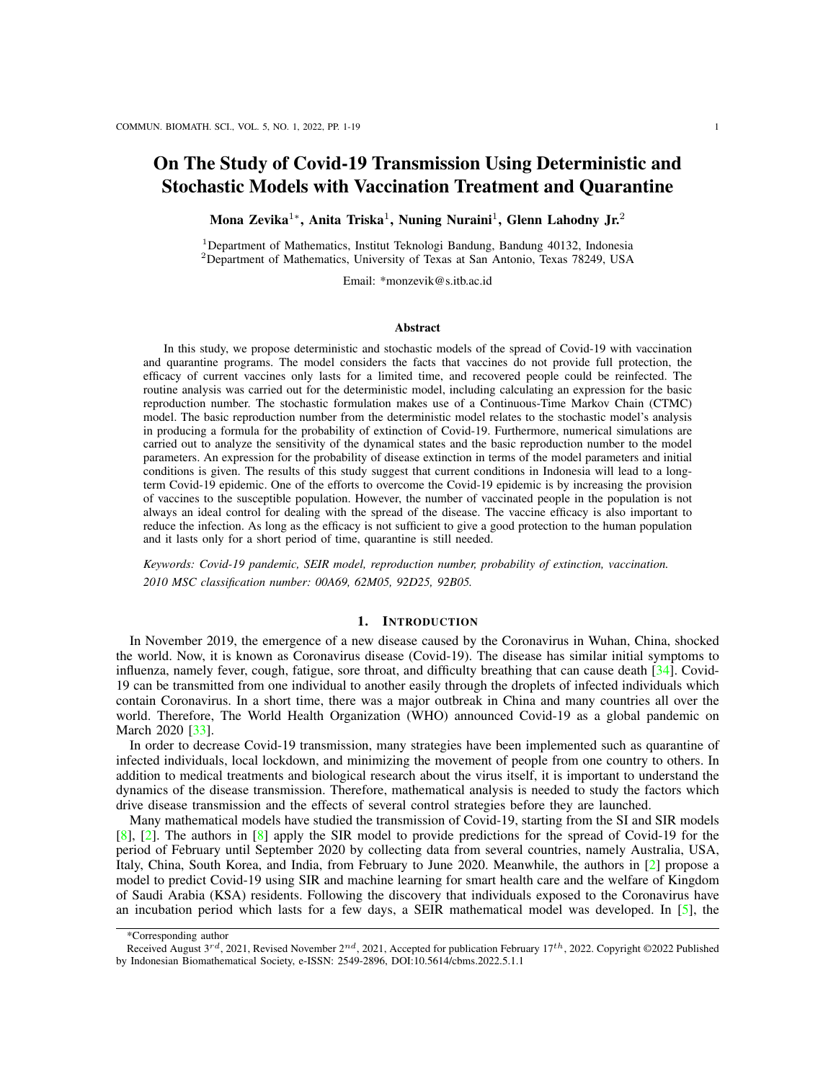p, and  $\kappa$ . Furthermore, a sensitivity analysis around the non-explicit endemic equilibrium (10) is simulated based on the values of the parameters in Table [3,](#page-9-0) as shown in Figure [7.](#page-13-1)

Values in Figure [7](#page-13-1) represent the sensitivity of variables for the corresponding parameters, whereas the signs (positive or negative) denote the relation of direction. Hence, from Figure [7,](#page-13-1) we observe that  $V$ ,  $Q$ ,  $I$ and R are the most sensitive to  $\alpha$ ,  $\kappa$ , and followed by  $\beta_2$  and p, even to  $\beta_2$  and  $\kappa$ . Figures [7\(](#page-13-1)a) and (c) show that variable V is directly proportional to  $\alpha$  and p, but two other figures show it is inversely proportional to  $\beta_2$  and  $\kappa$ . Meanwhile, the direction change of variables Q, I and R fluctuate at the beginning of time, but after  $t = 1500$  they show almost no more change. This means that the endemic equilibrium has been reached. Furthermore, from the magnitude of the change of variables to time t in Figure [7\(](#page-13-1)b) and (c) show that parameters  $\beta_2$  and p just make a slight change to all variables. However, V is much more sensitive to  $\alpha$ compared to other parameters and even other variables to that parameter. Therefore, increasing the vaccinated people and extending the antibodies resistance due to vaccines will reduce the number of the infected.

<span id="page-14-0"></span>

Figure 8: The proportions of  $V(t) + R(t)$  and  $I(t) + Q(t)$  with different.

The current study states that herd immunity in Indonesia will be achieved if the proportion of the population that has immunity is about 70% [\[13\]](#page-17-26), [\[1\]](#page-17-27). In this model, we assume that the number of humans who have immunity is the total population of  $V(t)+R(t)$ . Figure [8](#page-14-0) shows the proportions of  $V(t)+R(t)$  and  $I(t)+Q(t)$ in a population with several different  $\alpha$  scenarios. In Figure [8,](#page-14-0) it can be seen that the average vaccination rate has a significant effect on increasing the proportion of the population who has immunity. However, for possible scenarios on average vaccine administration based on  $[25]$ , herd immunity has not been achieved in Indonesia.

The next important factor is  $\beta_2$ , which is the infection rate of people who have been vaccinated. The greater the value of  $\beta_2$ , the lower the vaccine efficacy. Figure [9](#page-15-0) shows the proportions of  $V(t) + R(t)$  and  $I(t) + Q(t)$  in a population with several scenarios of  $\beta_2$ . From Figure [9,](#page-15-0) it can be said that the lower the vaccine efficacy, the lower the amount  $V(t) + R(t)$  and the higher the amount  $I(t) + Q(t)$ . Thus, it can be concluded that the use of vaccines with higher efficacy can be applied as an effort to reduce the number of infected humans.

Considering the two most influential factors in the vaccinated compartment, namely the vaccination rate and the infection rate in the vaccinated compartment, we simulated several scenarios of the pairs of  $(\alpha, \beta_2)$ . Figure [10](#page-15-1) shows the simulation results in the proportion of the number of compartments  $V(t) + R(t)$  and  $I(t) + Q(t)$  for the scenarios of the highest and lowest rate combinations at the values  $\alpha$  and  $\beta_2$ , respectively. From the simulation, it can be seen that the effect of the value of  $\alpha$  is greater than the effect of the value of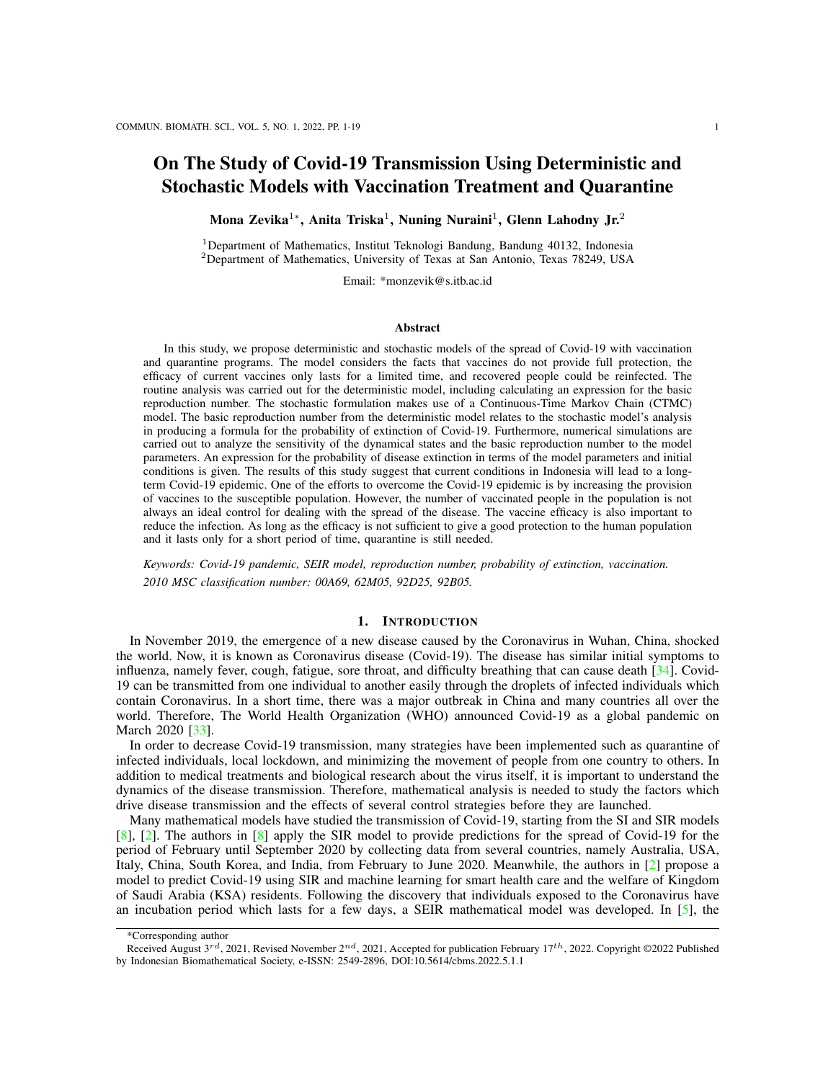<span id="page-15-0"></span>

Figure 9: The proportions of  $V(t) + R(t)$  and  $I(t) + Q(t)$  with different 2.

<span id="page-15-1"></span>

Figure 10: The proportions of  $V(t) + R(t)$  and  $I(t) + Q(t)$  with different pairs of  $(\begin{array}{cc} 1 \\ 2 \end{array})$ .

 $\beta_2$  for each proportion. That is to say, the speed of administration of the vaccine is more influential than the efficacy of the vaccine to increase the number of populations that have immunity and reduce the number of infected people.

Figure [11](#page-16-0) shows a simulation of several scenarios for the pairs of  $(\alpha, p)$ . The proportion of  $I(t) + Q(t)$ is always proportional to  $R_0$  as shown in Figure [11\(](#page-16-0)b), while the proportion of  $\hat{V}(t) + R(t)$  is not always proportional to  $R_0$  as shown in Figure [11\(](#page-16-0)a). However, it can be observed that for the same value of p, the greater the value of  $\alpha$ , the greater the proportion of  $V(t)+R(t)$ . Meanwhile, for the same  $\alpha$  value, the greater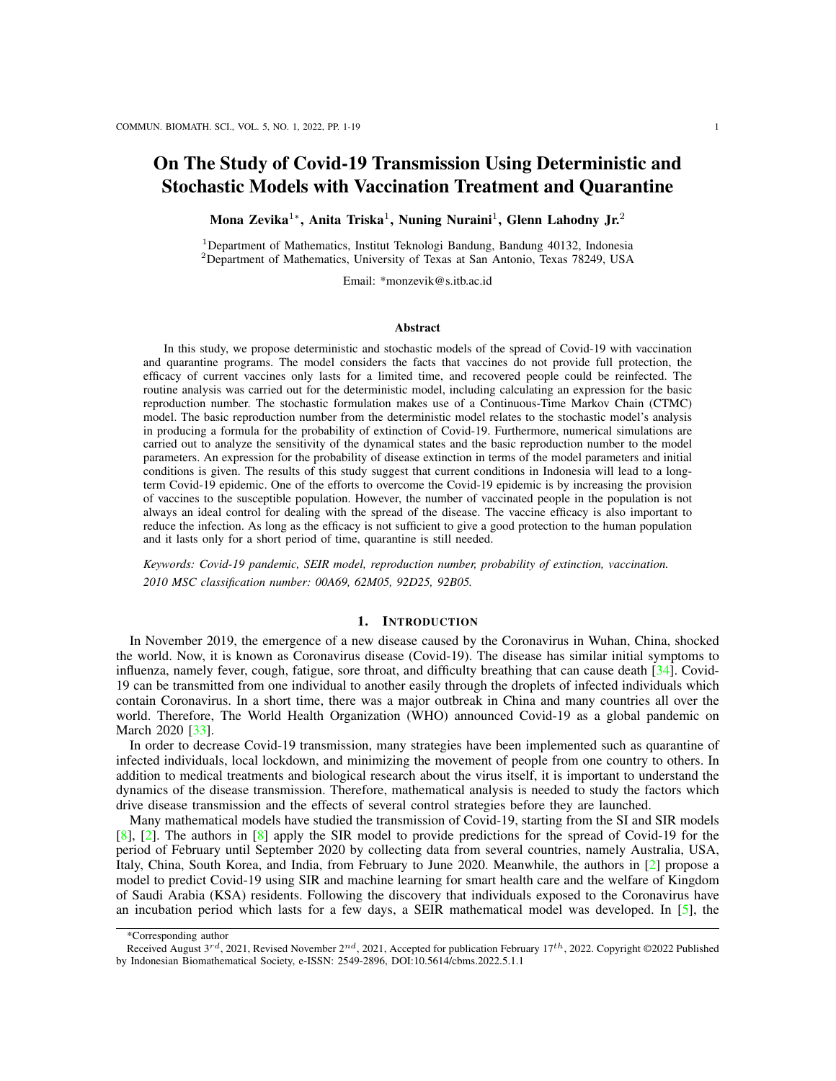<span id="page-16-0"></span>

Figure 11: The proportions of  $V(t) + R(t)$  and  $I(t) + Q(t)$  with different pairs of  $(\frac{\partial f}{\partial t})$ .

the value of p, the lower the value of  $V(t) + R(t)$ . It can be explained by the parameter p (proportion of people quarantined) which is indirectly inversely proportional to the proportion of  $R(t)$ , while the parameter  $\alpha$  (vaccination rate) is proportional to the proportion of  $V(t)$ .

## 5. CONCLUSION

In this study, we considered an extended SEIR model of Covid-19 transmission with the addition of vaccinated and quarantined compartments. Thus, the rate of vaccination, the efficacy of the vaccine used, and the proportion of the number of infected people who were quarantined became control parameters. We analyzed some important indicators for disease transmission through deterministic and stochastic models, namely the basic reproduction number and the probability of extinction of Covid-19. Numerical simulations were performed for the deterministic and stochastic models reflecting the epidemic in Indonesia. The results of this study lead to two main recommendations for dealing with the Covid-19 epidemic in Indonesia. First, increasing the proportion of humans who are vaccinated to reduce the possibility of people being infected when coming into contact with an infected person. Second, since the current vaccines do not provide full protection and their efficacy only lasts for a limited time, quarantining infected people is still necessary to reduce the proportion of infectious individuals transmitting the disease. The efforts to increase the rate of vaccination can be done by increasing the average daily administration of vaccines in Indonesia. On the other hand, the limitations of the Indonesian government on distributing the vaccine can be offset by implementing a quarantine program for infected people. The quarantine does not have an impact on increasing the number of people who are immune directly, but it can reduce the number of people who can transmit the disease. Additionally, an important parameter for reducing the number of infected people is the efficacy of the vaccine itself. We believe that this study provides some insights in understanding the transmission of Covid-19 with the vaccination program, although this model is limited by some assumptions.

#### ACKNOWLEDGEMENT

This research was supported by the Simlibtabmas of Indonesian Education Scholarship Program, Ministry of Finance and Research, Technology, and Higher Education of the Republic of Indonesia.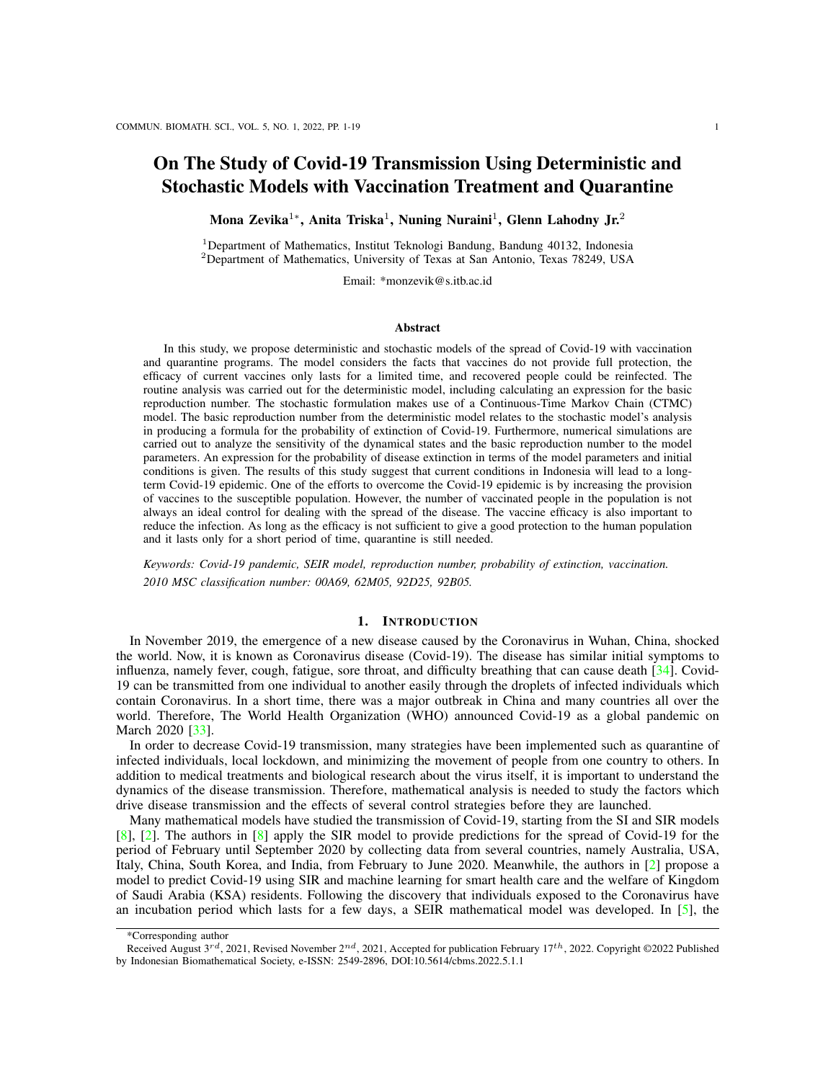#### **REFERENCES**

- <span id="page-17-27"></span>[1] Aini, M., and Widjaja, G., Mandatory coronavirus disease-19 (covid-19) vaccination in Indonesia: legal aspect, Journal of Legal, Ethical and Regulatory Issues, pp. 1–15, 2021.
- <span id="page-17-1"></span>[2] Alanazi, S. A., Kamruzzaman, M., Alruwaili, M.. Alshammari, N., Alqahtani, S. A., and Karime, A., Measuring and preventing covid-19 using the sir model and machine learning in smart health care, Journal of healthcare engineering, 2020, 8857346, 2020.
- <span id="page-17-14"></span>[3] Allen, L. J., and Lahodny, G. E. Jr., Extinction thresholds in deterministic and stochastic epidemic models, Journal of biological dynamics, 6(2), pp. 590–611, 2012.
- <span id="page-17-15"></span>[4] Allen, L. J., and Driessche, P. V. D., Relations between deterministic and stochastic thresholds for disease extinction in continuousand discrete-time infectious disease models, Mathematical biosciences, 243(1), pp. 99–108, 2013.
- <span id="page-17-2"></span>[5] Annas, S., Pratama, M. I., Rifandi, M., Sanusi, W., and Side, S., Stability analysis and numerical simulation of seir model for pandemic covid-19 spread in indonesia,Chaos, Solitons Fractals, 139, p. 110072, 2020.
- <span id="page-17-18"></span>[6] Athreya, KB and Ney, PE, Branching processes, Springer-Verlag; NewYork, 1972.
- <span id="page-17-24"></span>[7] Chitnis, N., Hyman, J. M., and Cushing, J. M., Determining important parameters in the spread of malaria through the sensitivity analysis of a mathematical model, Bulletin of mathematical biology, 70(5), p. 1272, 2008.
- <span id="page-17-0"></span>[8] Cooper, I., Mondal, A.,and Antonopoulos, C. G., A sir model assumption for the spread of covid-19 in different communities, Chaos, Solitons Fractals, 139, p. 110057, 2020.
- <span id="page-17-12"></span>[9] Covid19 Id, 3 Vaksin COVID-19 Dalam Program Vaksinasi Nasional Saat Ini Semua Direkomendasikan WHO, WHO, [https://covid19.go.id/berita/3-vaksin-covid-19-dalam-program-vaksinasi-nasional-saat-ini-semua-direkomendasikan-who,](https://covid19.go.id/berita/3-vaksin-covid-19-dalam-program-vaksinasi-nasional-saat-ini-semua-direkomendasikan-who) Accessed December 3, 2021.
- <span id="page-17-10"></span>[10] Dan, J., Mateus, J., Kato, Y., Hastie, K., Faliti, E. Yu, C., and Crotty, S., Immunological memory to sars-cov-2 assessed for up to 8 months after infection, Science, 371(6529), p. eabf4063, 2021.
- <span id="page-17-16"></span>[11] Driessche, P. V. d., and Watmough, J., Reproduction numbers and sub-threshold endemic equilibria for compartmental models of disease transmission, Mathematical biosciences, 180(1-2), pp. 29–48, 2002.
- <span id="page-17-17"></span>[12] Driessche, P. V. d., and Watmough, J., Further notes on the basic reproduction number, in Mathematical epidemiology, pp. 159–178, Springer, 2008.
- <span id="page-17-26"></span>[13] Dwipayana, I. D. A. P., Efforts in securing vaccine for covid-19 outbreak in indonesia, Health Notions, 4(10), pp. 313–317, 2020.
- <span id="page-17-23"></span>[14] Evensen, G., Amezcua, J., Bocquet, M., Carrassi, A., Farchi, A., Fowler, A., Houtekamer, P., Jones, C. K., De Moraes, R., Pulido, M., et al., An international assessment of the covid-19 pandemic using ensemble data assimilation, medRxiv, 2020.
- <span id="page-17-3"></span>[15] Feng, S., Z. Feng, Z., Ling, C., Chang, C., and Feng, Z., Prediction of the covid-19 epidemic trends based on seir and ai models, Plos one, 16(1), p. e0245101, 2021.
- <span id="page-17-9"></span>[16] Fuady, A., Nuraini, N., Sukandar, K. K., and Lestari, B. W., Targeted vaccine allocation could increase the covid-19 vaccine benefits amidst its lack of availability: A mathematical modeling study in indonesia, Vaccines, 9(5), p. 462, 2021.
- <span id="page-17-6"></span>[17] Ghostine, R., Gharamti, M., Hassrouny, S., and Hoteit, I., An extended seir model with vaccination for forecasting the covid-19 pandemic in saudi arabia using an ensemble kalman filter, Mathematics, 9(6), p. 636, 2021.
- <span id="page-17-19"></span>[18] Harris, T. E., et al., The theory of branching processes, Springer Berlin, 1963.
- <span id="page-17-13"></span>[19] Healtdata, COVID-19 vaccine efficacy summary, IHME, [http://www.healthdata.org/covid/covid-19-vaccine-efficacy-summary,](http://www.healthdata.org/covid/covid-19-vaccine-efficacy-summary) Accessed December 4, 2021.
- <span id="page-17-20"></span>[20] Karlin, S., *A first course in stochastic processes*, Academic press, 2014.
- <span id="page-17-25"></span>[21] Khumaeroh, M. S., Soewono, E., and Nuraini, N., A dynamical model of'invisible wall'in mosquito control, Commun. Biomath. Sci, 1(2), pp. 88–99, 2018.
- <span id="page-17-7"></span>[22] Machado, B., Antunes, L., Caetano, C., Pereira, J. F., Nunes, B., Patrício, P., and Morgado, M. L., The impact of vaccination on the evolution of covid-19 in portugal, Mathematical Biosciences and Engineering, 19(1), pp. 936–952, 2022.
- <span id="page-17-4"></span>[23] Ndaïrou, F., Area, I., Nieto, J. J., and Torres, D. F., Mathematical modeling of covid-19 transmission dynamics with a case study of wuhan, Chaos, Solitons Fractals, 135, p. 109846, 2020.
- <span id="page-17-11"></span>[24] Omae, Y., Kakimoto, Y., Sasaki, M., Toyotani, J., Hara, K., Gon, Y., and Takahashi, H., Sirvvd model-based verification of the effect of first and second doses of covid-19/sars-cov-2 vaccination in japan, Mathematical Biosciences and Engineering, 19(1), pp. 1026–1040, 2022.
- <span id="page-17-22"></span>[25] Ourworldindata, Daily share of the population receiving a first COVID-19 vaccine dose, Oxford Martin School, [https://ourworldindata.org/explorers/coronavirus-data-explorer?facet=none&Metric=People+vaccinated&Interval=7-day+rolling+](https://ourworldindata.org/explorers/coronavirus-data-explorer?facet=none&Metric=People+vaccinated&Interval=7-day+rolling+average&Relative+to+Population=true&Align+outbreaks=false&country=~IDN) [average&Relative+to+Population=true&Align+outbreaks=false&country=](https://ourworldindata.org/explorers/coronavirus-data-explorer?facet=none&Metric=People+vaccinated&Interval=7-day+rolling+average&Relative+to+Population=true&Align+outbreaks=false&country=~IDN) IDN, Accessed December 27, 2021.
- <span id="page-17-21"></span>[26] Penisson, S., Conditional limit theorems for multitype branching processes and illustration in epidemiological risk analysis, PhD thesis, Universitat Potsdam, Universitä Paris Sud-Paris XI, 2010.
- <span id="page-17-5"></span>[27] Sarkar, K., Khajanchi, S., and Nieto, J. J., Modeling and forecasting the covid-19 pandemic in India, Chaos, Solitons Fractals, 139, p. 110049, 2020.
- <span id="page-17-8"></span>[28] Savasan, A., Bilgen, K., Gokbulut,N., Hincal, E., and Yoldascan, E., Sensitivity analysis of covid-19 in mediterranean island, Computer Modeling in Engineering Sciences, pp. 133–148, 2022.